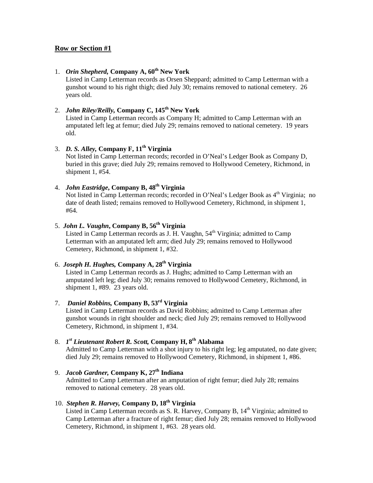### 1. *Orin Shepherd,* Company A, 60<sup>th</sup> New York

Listed in Camp Letterman records as Orsen Sheppard; admitted to Camp Letterman with a gunshot wound to his right thigh; died July 30; remains removed to national cemetery. 26 years old.

### 2. *John Riley/Reilly,* **Company C, 145th New York**

Listed in Camp Letterman records as Company H; admitted to Camp Letterman with an amputated left leg at femur; died July 29; remains removed to national cemetery. 19 years old.

### 3. *D. S. Alley,* **Company F, 11th Virginia**

Not listed in Camp Letterman records; recorded in O'Neal's Ledger Book as Company D, buried in this grave; died July 29; remains removed to Hollywood Cemetery, Richmond, in shipment 1, #54.

### 4. *John Eastridge***, Company B, 48th Virginia**

Not listed in Camp Letterman records; recorded in O'Neal's Ledger Book as 4<sup>th</sup> Virginia; no date of death listed; remains removed to Hollywood Cemetery, Richmond, in shipment 1, #64.

### 5. *John L. Vaughn***, Company B, 56th Virginia**

Listed in Camp Letterman records as J. H. Vaughn, 54<sup>th</sup> Virginia; admitted to Camp Letterman with an amputated left arm; died July 29; remains removed to Hollywood Cemetery, Richmond, in shipment 1, #32.

### 6. *Joseph H. Hughes,* **Company A, 28th Virginia**

Listed in Camp Letterman records as J. Hughs; admitted to Camp Letterman with an amputated left leg; died July 30; remains removed to Hollywood Cemetery, Richmond, in shipment 1, #89. 23 years old.

### 7. *Daniel Robbins,* **Company B, 53rd Virginia**

Listed in Camp Letterman records as David Robbins; admitted to Camp Letterman after gunshot wounds in right shoulder and neck; died July 29; remains removed to Hollywood Cemetery, Richmond, in shipment 1, #34.

### 8. *1st Lieutenant Robert R. Scott,* **Company H, 8th Alabama**

Admitted to Camp Letterman with a shot injury to his right leg; leg amputated, no date given; died July 29; remains removed to Hollywood Cemetery, Richmond, in shipment 1, #86.

### 9. *Jacob Gardner,* **Company K, 27th Indiana**

Admitted to Camp Letterman after an amputation of right femur; died July 28; remains removed to national cemetery. 28 years old.

### 10. *Stephen R. Harvey,* **Company D, 18th Virginia**

Listed in Camp Letterman records as S. R. Harvey, Company B, 14<sup>th</sup> Virginia; admitted to Camp Letterman after a fracture of right femur; died July 28; remains removed to Hollywood Cemetery, Richmond, in shipment 1, #63. 28 years old.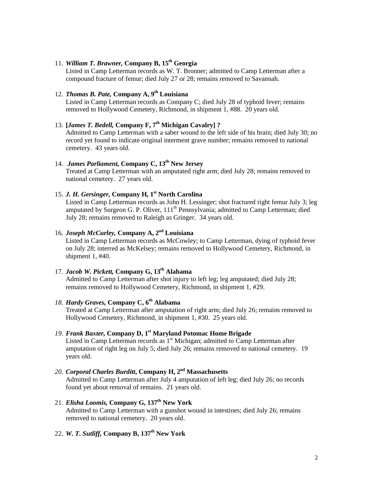### 11. *William T. Brawner,* **Company B, 15th Georgia**

Listed in Camp Letterman records as W. T. Bronner; admitted to Camp Letterman after a compound fracture of femur; died July 27 or 28; remains removed to Savannah.

### 12. *Thomas B. Pate,* **Company A, 9th Louisiana**

Listed in Camp Letterman records as Company C; died July 28 of typhoid fever; remains removed to Hollywood Cemetery, Richmond, in shipment 1, #88. 20 years old.

### 13. **[***James T. Bedell,* **Company F, 7th Michigan Cavalry] ?**

Admitted to Camp Letterman with a saber wound to the left side of his brain; died July 30; no record yet found to indicate original interment grave number; remains removed to national cemetery. 43 years old.

### 14. *James Parliament,* **Company C, 13th New Jersey**

Treated at Camp Letterman with an amputated right arm; died July 28; remains removed to national cemetery. 27 years old.

### 15. *J. H. Gersinger, Company H, 1<sup>st</sup> North Carolina*

Listed in Camp Letterman records as John H. Lessinger; shot fractured right femur July 3; leg amputated by Surgeon G. P. Oliver, 111<sup>th</sup> Pennsylvania; admitted to Camp Letterman; died July 28; remains removed to Raleigh as Gringer. 34 years old.

### 16. *Joseph McCurley,* **Company A, 2 nd Louisiana**

Listed in Camp Letterman records as McCowley; to Camp Letterman, dying of typhoid fever on July 28; interred as McKelsey; remains removed to Hollywood Cemetery, Richmond, in shipment 1, #40.

### 17. *Jacob W. Pickett,* **Company G, 13th Alabama**

Admitted to Camp Letterman after shot injury to left leg; leg amputated; died July 28; remains removed to Hollywood Cemetery, Richmond, in shipment 1, #29.

### *18. Hardy Graves,* **Company C, 6th Alabama**

Treated at Camp Letterman after amputation of right arm; died July 26; remains removed to Hollywood Cemetery, Richmond, in shipment 1, #30. 25 years old.

# 19. *Frank Baxter***, Company D, 1<sup>st</sup> Maryland Potomac Home Brigade straighted to Company and Straighted to Company and Straighted to Company and Straighted to Company and Straighted to Company and Straighted to Company a**

Listed in Camp Letterman records as 1 Michigan; admitted to Camp Letterman after amputation of right leg on July 5; died July 26; remains removed to national cemetery. 19 years old.

#### *20. Corporal Charles Burditt***, Company H, 2 nd Massachusetts** Admitted to Camp Letterman after July 4 amputation of left leg; died July 26; no records found yet about removal of remains. 21 years old.

#### 21. *Elisha Loomis,* **Company G, 137th New York** Admitted to Camp Letterman with a gunshot wound in intestines; died July 26; remains removed to national cemetery. 20 years old.

### 22. *W. T. Sutliff,* **Company B, 137th New York**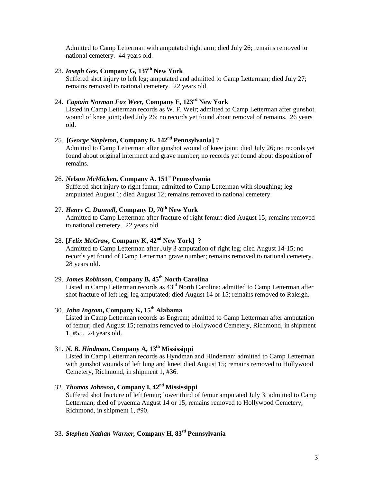Admitted to Camp Letterman with amputated right arm; died July 26; remains removed to national cemetery. 44 years old.

### 23. *Joseph Gee,* **Company G, 137th New York**

Suffered shot injury to left leg; amputated and admitted to Camp Letterman; died July 27; remains removed to national cemetery. 22 years old.

### 24. *Captain Norman Fox Weer,* **Company E, 123rd New York**

Listed in Camp Letterman records as W. F. Weir; admitted to Camp Letterman after gunshot wound of knee joint; died July 26; no records yet found about removal of remains. 26 years old.

### 25. **[***George Stapleton,* **Company E, 142nd Pennsylvania] ?**

Admitted to Camp Letterman after gunshot wound of knee joint; died July 26; no records yet found about original interment and grave number; no records yet found about disposition of remains.

### 26. *Nelson McMicken,* **Company A. 151 st Pennsylvania**

Suffered shot injury to right femur; admitted to Camp Letterman with sloughing; leg amputated August 1; died August 12; remains removed to national cemetery.

### 27. *Henry C. Dunnell***, Company D, 70th New York**

Admitted to Camp Letterman after fracture of right femur; died August 15; remains removed to national cemetery. 22 years old.

### 28. **[***Felix McGraw,* **Company K, 42nd New York] ?**

Admitted to Camp Letterman after July 3 amputation of right leg; died August 14-15; no records yet found of Camp Letterman grave number; remains removed to national cemetery. 28 years old.

### 29. *James Robinson,* **Company B, 45th North Carolina**

Listed in Camp Letterman records as 43<sup>rd</sup> North Carolina; admitted to Camp Letterman after shot fracture of left leg; leg amputated; died August 14 or 15; remains removed to Raleigh.

### 30. *John Ingram***, Company K, 15 th Alabama**

Listed in Camp Letterman records as Engrem; admitted to Camp Letterman after amputation of femur; died August 15; remains removed to Hollywood Cemetery, Richmond, in shipment 1, #55. 24 years old.

### 31. *N. B. Hindman***, Company A, 13th Mississippi**

Listed in Camp Letterman records as Hyndman and Hindeman; admitted to Camp Letterman with gunshot wounds of left lung and knee; died August 15; remains removed to Hollywood Cemetery, Richmond, in shipment 1, #36.

### 32. *Thomas Johnson,* **Company I, 42nd Mississippi**

Suffered shot fracture of left femur; lower third of femur amputated July 3; admitted to Camp Letterman; died of pyaemia August 14 or 15; remains removed to Hollywood Cemetery, Richmond, in shipment 1, #90.

### 33. *Stephen Nathan Warner,* **Company H, 83rd Pennsylvania**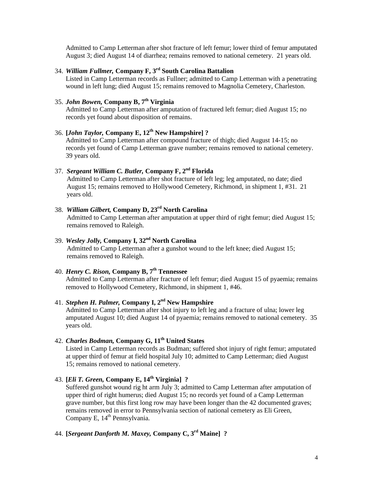Admitted to Camp Letterman after shot fracture of left femur; lower third of femur amputated August 3; died August 14 of diarrhea; remains removed to national cemetery. 21 years old.

### 34. *William Fullmer,* **Company F, 3rd South Carolina Battalion**

Listed in Camp Letterman records as Fullner; admitted to Camp Letterman with a penetrating wound in left lung; died August 15; remains removed to Magnolia Cemetery, Charleston.

### 35. *John Bowen,* **Company B, 7th Virginia**

Admitted to Camp Letterman after amputation of fractured left femur; died August 15; no records yet found about disposition of remains.

### 36. **[***John Taylor,* **Company E, 12th New Hampshire] ?**

Admitted to Camp Letterman after compound fracture of thigh; died August 14-15; no records yet found of Camp Letterman grave number; remains removed to national cemetery. 39 years old.

### 37. *Sergeant William C. Butler,* **Company F, 2nd Florida**

Admitted to Camp Letterman after shot fracture of left leg; leg amputated, no date; died August 15; remains removed to Hollywood Cemetery, Richmond, in shipment 1, #31. 21 years old.

#### 38. *William Gilbert,* **Company D, 23 rd North Carolina** Admitted to Camp Letterman after amputation at upper third of right femur; died August 15; remains removed to Raleigh.

### 39. *Wesley Jolly,* **Company I, 32 nd North Carolina**

Admitted to Camp Letterman after a gunshot wound to the left knee; died August 15; remains removed to Raleigh.

# 40. *Henry C. Rison,* **Company B, 7th Tennessee**

Admitted to Camp Letterman after fracture of left femur; died August 15 of pyaemia; remains removed to Hollywood Cemetery, Richmond, in shipment 1, #46.

### 41. *Stephen H. Palmer,* **Company I, 2nd New Hampshire**

Admitted to Camp Letterman after shot injury to left leg and a fracture of ulna; lower leg amputated August 10; died August 14 of pyaemia; remains removed to national cemetery. 35 years old.

42. *Charles Bodman,* **Company G, 11th United States** Listed in Camp Letterman records as Budman; suffered shot injury of right femur; amputated at upper third of femur at field hospital July 10; admitted to Camp Letterman; died August 15; remains removed to national cemetery.

### 43. **[***Eli T. Green,* **Company E, 14th Virginia] ?**

Suffered gunshot wound rig ht arm July 3; admitted to Camp Letterman after amputation of upper third of right humerus; died August 15; no records yet found of a Camp Letterman grave number, but this first long row may have been longer than the 42 documented graves; remains removed in error to Pennsylvania section of national cemetery as Eli Green, Company E, 14<sup>th</sup> Pennsylvania.

### 44. **[***Sergeant Danforth M. Maxey,* **Company C, 3 rd Maine] ?**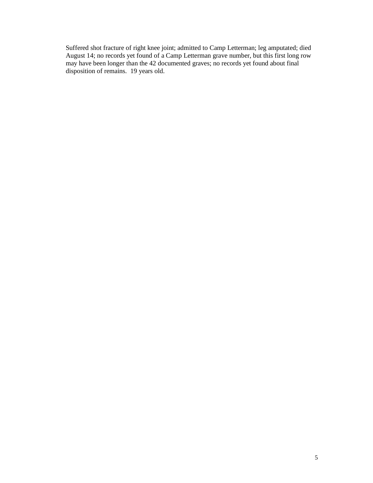Suffered shot fracture of right knee joint; admitted to Camp Letterman; leg amputated; died August 14; no records yet found of a Camp Letterman grave number, but this first long row may have been longer than the 42 documented graves; no records yet found about final disposition of remains. 19 years old.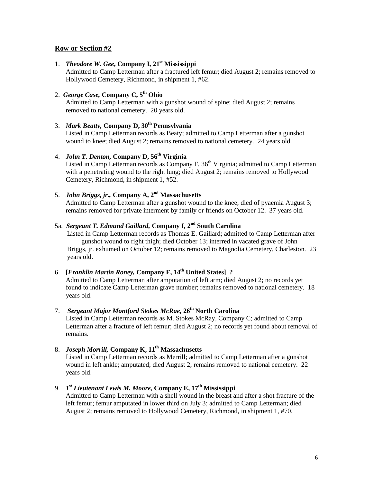1. *Theodore W. Gee*, Company I, 21<sup>st</sup> Mississippi

Admitted to Camp Letterman after a fractured left femur; died August 2; remains removed to Hollywood Cemetery, Richmond, in shipment 1, #62.

### 2. *George Case,* **Company C, 5 th Ohio**

Admitted to Camp Letterman with a gunshot wound of spine; died August 2; remains removed to national cemetery. 20 years old.

### 3. *Mark Beatty,* **Company D, 30 th Pennsylvania**

Listed in Camp Letterman records as Beaty; admitted to Camp Letterman after a gunshot wound to knee; died August 2; remains removed to national cemetery. 24 years old.

### 4. *John T. Denton,* **Company D, 56th Virginia**

Listed in Camp Letterman records as Company F, 36<sup>th</sup> Virginia; admitted to Camp Letterman with a penetrating wound to the right lung; died August 2; remains removed to Hollywood Cemetery, Richmond, in shipment 1, #52.

### 5. *John Briggs, jr.,* **Company A, 2 nd Massachusetts**

Admitted to Camp Letterman after a gunshot wound to the knee; died of pyaemia August 3; remains removed for private interment by family or friends on October 12. 37 years old.

### 5a. *Sergeant T. Edmund Gaillard,* **Company I, 2 nd South Carolina**

Listed in Camp Letterman records as Thomas E. Gaillard; admitted to Camp Letterman after gunshot wound to right thigh; died October 13; interred in vacated grave of John Briggs, jr. exhumed on October 12; remains removed to Magnolia Cemetery, Charleston. 23 years old.

### 6. **[***Franklin Martin Roney,* **Company F, 14 th United States] ?**

Admitted to Camp Letterman after amputation of left arm; died August 2; no records yet found to indicate Camp Letterman grave number; remains removed to national cemetery. 18 years old.

### 7. *Sergeant Major Montford Stokes McRae,* **26th North Carolina**

Listed in Camp Letterman records as M. Stokes McRay, Company C; admitted to Camp Letterman after a fracture of left femur; died August 2; no records yet found about removal of remains.

### 8. *Joseph Morrill,* **Company K, 11th Massachusetts**

Listed in Camp Letterman records as Merrill; admitted to Camp Letterman after a gunshot wound in left ankle; amputated; died August 2, remains removed to national cemetery. 22 years old.

### 9. *1st Lieutenant Lewis M. Moore,* **Company E, 17th Mississippi**

Admitted to Camp Letterman with a shell wound in the breast and after a shot fracture of the left femur; femur amputated in lower third on July 3; admitted to Camp Letterman; died August 2; remains removed to Hollywood Cemetery, Richmond, in shipment 1, #70.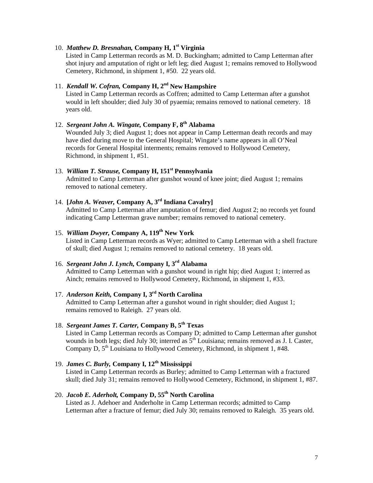### 10. *Matthew D. Bresnahan,* **Company H, 1st Virginia**

Listed in Camp Letterman records as M. D. Buckingham; admitted to Camp Letterman after shot injury and amputation of right or left leg; died August 1; remains removed to Hollywood Cemetery, Richmond, in shipment 1, #50. 22 years old.

# 11. *Kendall W. Cofran,* **Company H, 2nd New Hampshire**

Listed in Camp Letterman records as Coffren; admitted to Camp Letterman after a gunshot would in left shoulder; died July 30 of pyaemia; remains removed to national cemetery. 18 years old.

### 12. *Sergeant John A. Wingate,* **Company F, 8th Alabama**

Wounded July 3; died August 1; does not appear in Camp Letterman death records and may have died during move to the General Hospital; Wingate's name appears in all O'Neal records for General Hospital interments; remains removed to Hollywood Cemetery, Richmond, in shipment 1, #51.

#### 13. *William T. Strause,* **Company H, 151st Pennsylvania**

Admitted to Camp Letterman after gunshot wound of knee joint; died August 1; remains removed to national cemetery.

# 14. **[***John A. Weaver,* **Company A, 3rd Indiana Cavalry]**

Admitted to Camp Letterman after amputation of femur; died August 2; no records yet found indicating Camp Letterman grave number; remains removed to national cemetery.

### 15. *William Dwyer,* **Company A, 119th New York**

Listed in Camp Letterman records as Wyer; admitted to Camp Letterman with a shell fracture of skull; died August 1; remains removed to national cemetery. 18 years old.

### 16. *Sergeant John J. Lynch,* **Company I, 3rd Alabama**

Admitted to Camp Letterman with a gunshot wound in right hip; died August 1; interred as Ainch; remains removed to Hollywood Cemetery, Richmond, in shipment 1, #33.

### 17. *Anderson Keith,* **Company I, 3rd North Carolina**

Admitted to Camp Letterman after a gunshot wound in right shoulder; died August 1; remains removed to Raleigh. 27 years old.

## 18. *Sergeant James T. Carter,* **Company B, 5th Texas**

Listed in Camp Letterman records as Company D; admitted to Camp Letterman after gunshot wounds in both legs; died July 30; interred as  $5<sup>th</sup>$  Louisiana; remains removed as J. I. Caster, Company D,  $5<sup>th</sup>$  Louisiana to Hollywood Cemetery, Richmond, in shipment 1, #48.

# 19. *James C. Burly,* **Company I, 12th Mississippi**

Listed in Camp Letterman records as Burley; admitted to Camp Letterman with a fractured skull; died July 31; remains removed to Hollywood Cemetery, Richmond, in shipment 1, #87.

## 20. *Jacob E. Aderholt,* **Company D, 55th North Carolina**

Listed as J. Adehoer and Anderholte in Camp Letterman records; admitted to Camp Letterman after a fracture of femur; died July 30; remains removed to Raleigh. 35 years old.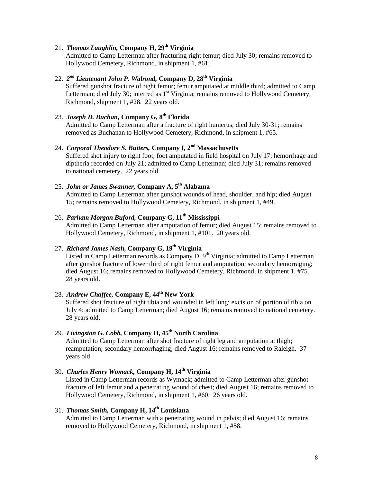# 21. *Thomas Laughlin,* **Company H, 29th Virginia**

Admitted to Camp Letterman after fracturing right femur; died July 30; remains removed to Hollywood Cemetery, Richmond, in shipment 1, #61.

### 22. *2nd Lieutenant John P. Walrond,* **Company D, 28th Virginia**

Suffered gunshot fracture of right femur; femur amputated at middle third; admitted to Camp Letterman; died July 30; interred as  $1<sup>st</sup> Virginia$ ; remains removed to Hollywood Cemetery, Richmond, shipment 1, #28. 22 years old.

### 23. *Joseph D. Buchan,* **Company G, 8th Florida**

Admitted to Camp Letterman after a fracture of right humerus; died July 30-31; remains removed as Buchanan to Hollywood Cemetery, Richmond, in shipment 1, #65.

24. *Corporal Theodore S. Butters,* **Company I, 2nd Massachusetts** Suffered shot injury to right foot; foot amputated in field hospital on July 17; hemorrhage and diptheria recorded on July 21; admitted to Camp Letterman; died July 31; remains removed to national cemetery. 22 years old.

# 25. *John or James Swanner,* **Company A, 5th Alabama**

Admitted to Camp Letterman after gunshot wounds of head, shoulder, and hip; died August 15; remains removed to Hollywood Cemetery, Richmond, in shipment 1, #49.

### 26. *Parham Morgan Buford,* **Company G, 11th Mississippi**

Admitted to Camp Letterman after amputation of femur; died August 15; remains removed to Hollywood Cemetery, Richmond, in shipment 1, #101. 20 years old.

### 27. *Richard James Nash,* **Company G, 19th Virginia**

Listed in Camp Letterman records as Company D, 9<sup>th</sup> Virginia; admitted to Camp Letterman after gunshot fracture of lower third of right femur and amputation; secondary hemorraging; died August 16; remains removed to Hollywood Cemetery, Richmond, in shipment 1, #75. 28 years old.

## 28. *Andrew Chaffee,* **Company E, 44th New York**

Suffered shot fracture of right tibia and wounded in left lung; excision of portion of tibia on July 4; admitted to Camp Letterman; died August 16; remains removed to national cemetery. 28 years old.

### 29. *Livingston G. Cobb,* **Company H, 45th North Carolina**

Admitted to Camp Letterman after shot fracture of right leg and amputation at thigh; reamputation; secondary hemorrhaging; died August 16; remains removed to Raleigh. 37 years old.

### 30. *Charles Henry Womack,* **Company H, 14th Virginia**

Listed in Camp Letterman records as Wymack; admitted to Camp Letterman after gunshot fracture of left femur and a penetrating wound of chest; died August 16; remains removed to Hollywood Cemetery, Richmond, in shipment 1, #60. 26 years old.

## 31. *Thomas Smith,* **Company H, 14th Louisiana**

Admitted to Camp Letterman with a penetrating wound in pelvis; died August 16; remains removed to Hollywood Cemetery, Richmond, in shipment 1, #58.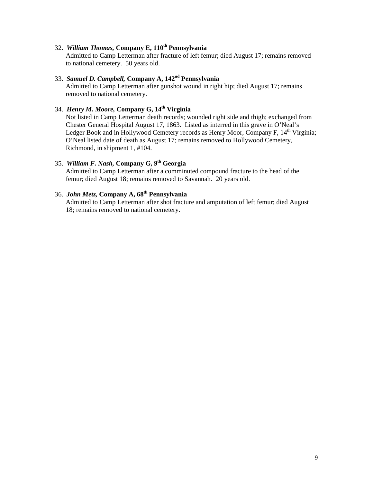### 32. *William Thomas,* **Company E, 110th Pennsylvania**

Admitted to Camp Letterman after fracture of left femur; died August 17; remains removed to national cemetery. 50 years old.

### 33. *Samuel D. Campbell,* **Company A, 142nd Pennsylvania**

Admitted to Camp Letterman after gunshot wound in right hip; died August 17; remains removed to national cemetery.

### 34. *Henry M. Moore,* **Company G, 14th Virginia**

Not listed in Camp Letterman death records; wounded right side and thigh; exchanged from Chester General Hospital August 17, 1863. Listed as interred in this grave in O'Neal's Ledger Book and in Hollywood Cemetery records as Henry Moor, Company F, 14<sup>th</sup> Virginia; O'Neal listed date of death as August 17; remains removed to Hollywood Cemetery, Richmond, in shipment 1, #104.

#### 35. *William F. Nash,* **Company G, 9th Georgia**

Admitted to Camp Letterman after a comminuted compound fracture to the head of the femur; died August 18; remains removed to Savannah. 20 years old.

### 36. *John Metz,* **Company A, 68th Pennsylvania**

Admitted to Camp Letterman after shot fracture and amputation of left femur; died August 18; remains removed to national cemetery.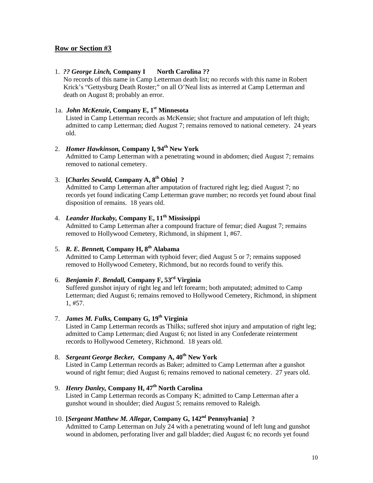#### 1. *?? George Linch,* **Company I North Carolina ??**

No records of this name in Camp Letterman death list; no records with this name in Robert Krick's "Gettysburg Death Roster;" on all O'Neal lists as interred at Camp Letterman and death on August 8; probably an error.

### 1a. *John McKenzie*, Company E, 1<sup>st</sup> Minnesota

Listed in Camp Letterman records as McKensie; shot fracture and amputation of left thigh; admitted to camp Letterman; died August 7; remains removed to national cemetery. 24 years old.

### 2. *Homer Hawkinson,* **Company I, 94 th New York**

Admitted to Camp Letterman with a penetrating wound in abdomen; died August 7; remains removed to national cemetery.

### 3. **[***Charles Sewald,* **Company A, 8th Ohio] ?**

Admitted to Camp Letterman after amputation of fractured right leg; died August 7; no records yet found indicating Camp Letterman grave number; no records yet found about final disposition of remains. 18 years old.

### 4. *Leander Huckaby,* **Company E, 11th Mississippi**

Admitted to Camp Letterman after a compound fracture of femur; died August 7; remains removed to Hollywood Cemetery, Richmond, in shipment 1, #67.

### 5. *R. E. Bennett,* **Company H, 8th Alabama**

Admitted to Camp Letterman with typhoid fever; died August 5 or 7; remains supposed removed to Hollywood Cemetery, Richmond, but no records found to verify this.

### 6. *Benjamin F. Bendall,* **Company F, 53rd Virginia**

Suffered gunshot injury of right leg and left forearm; both amputated; admitted to Camp Letterman; died August 6; remains removed to Hollywood Cemetery, Richmond, in shipment 1, #57.

### 7. *James M. Fulks,* **Company G, 19th Virginia**

Listed in Camp Letterman records as Thilks; suffered shot injury and amputation of right leg; admitted to Camp Letterman; died August 6; not listed in any Confederate reinterment records to Hollywood Cemetery, Richmond. 18 years old.

### 8. *Sergeant George Becker,* **Company A, 40th New York**

Listed in Camp Letterman records as Baker; admitted to Camp Letterman after a gunshot wound of right femur; died August 6; remains removed to national cemetery. 27 years old.

### 9. *Henry Danley,* **Company H, 47th North Carolina**

Listed in Camp Letterman records as Company K; admitted to Camp Letterman after a gunshot wound in shoulder; died August 5; remains removed to Raleigh.

### 10. **[***Sergeant Matthew M. Allegar,* **Company G, 142nd Pennsylvania] ?**

Admitted to Camp Letterman on July 24 with a penetrating wound of left lung and gunshot wound in abdomen, perforating liver and gall bladder; died August 6; no records yet found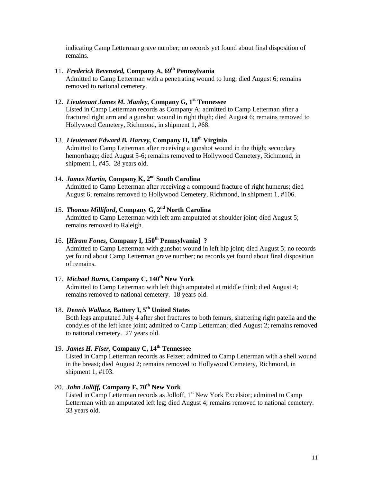indicating Camp Letterman grave number; no records yet found about final disposition of remains.

### 11. *Frederick Bevensted,* **Company A, 69th Pennsylvania**

Admitted to Camp Letterman with a penetrating wound to lung; died August 6; remains removed to national cemetery.

### 12. *Lieutenant James M. Manley,* **Company G, 1st Tennessee**

Listed in Camp Letterman records as Company A; admitted to Camp Letterman after a fractured right arm and a gunshot wound in right thigh; died August 6; remains removed to Hollywood Cemetery, Richmond, in shipment 1, #68.

### 13. *Lieutenant Edward B. Harvey,* **Company H, 18th Virginia**

Admitted to Camp Letterman after receiving a gunshot wound in the thigh; secondary hemorrhage; died August 5-6; remains removed to Hollywood Cemetery, Richmond, in shipment 1, #45. 28 years old.

### 14. *James Martin,* **Company K, 2nd South Carolina**

Admitted to Camp Letterman after receiving a compound fracture of right humerus; died August 6; remains removed to Hollywood Cemetery, Richmond, in shipment 1, #106.

### 15. *Thomas Milliford***, Company G, 2nd North Carolina**

Admitted to Camp Letterman with left arm amputated at shoulder joint; died August 5; remains removed to Raleigh.

### 16. **[***Hiram Fones,* **Company I, 150th Pennsylvania] ?**

Admitted to Camp Letterman with gunshot wound in left hip joint; died August 5; no records yet found about Camp Letterman grave number; no records yet found about final disposition of remains.

### 17. *Michael Burns***, Company C, 140th New York**

Admitted to Camp Letterman with left thigh amputated at middle third; died August 4; remains removed to national cemetery. 18 years old.

### 18. *Dennis Wallace,* **Battery I, 5th United States**

Both legs amputated July 4 after shot fractures to both femurs, shattering right patella and the condyles of the left knee joint; admitted to Camp Letterman; died August 2; remains removed to national cemetery. 27 years old.

### 19. *James H. Fiser,* **Company C, 14th Tennessee**

Listed in Camp Letterman records as Feizer; admitted to Camp Letterman with a shell wound in the breast; died August 2; remains removed to Hollywood Cemetery, Richmond, in shipment 1, #103.

### 20. *John Jolliff,* **Company F, 70th New York**

Listed in Camp Letterman records as Jolloff,  $1<sup>st</sup>$  New York Excelsior; admitted to Camp Letterman with an amputated left leg; died August 4; remains removed to national cemetery. 33 years old.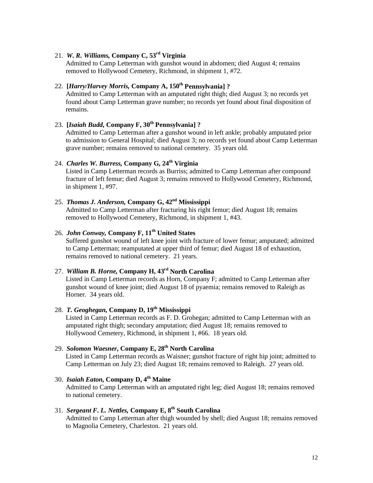### 21. *W. R. Williams,* **Company C, 53rd Virginia**

Admitted to Camp Letterman with gunshot wound in abdomen; died August 4; remains removed to Hollywood Cemetery, Richmond, in shipment 1, #72.

# 22. **[***Harry/Harvey Morris,* **Company A, 150th Pennsylvania] ?**

Admitted to Camp Letterman with an amputated right thigh; died August 3; no records yet found about Camp Letterman grave number; no records yet found about final disposition of remains.

### 23. **[***Isaiah Budd,* **Company F, 30<sup>th</sup> Pennsylvania] ?**

Admitted to Camp Letterman after a gunshot wound in left ankle; probably amputated prior to admission to General Hospital; died August 3; no records yet found about Camp Letterman grave number; remains removed to national cemetery. 35 years old.

### 24. *Charles W. Burress,* **Company G, 24th Virginia**

Listed in Camp Letterman records as Burriss; admitted to Camp Letterman after compound fracture of left femur; died August 3; remains removed to Hollywood Cemetery, Richmond, in shipment 1, #97.

## 25. *Thomas J. Anderson,* **Company G, 42nd Mississippi**

Admitted to Camp Letterman after fracturing his right femur; died August 18; remains removed to Hollywood Cemetery, Richmond, in shipment 1, #43.

### 26. *John Conway,* **Company F, 11th United States**

Suffered gunshot wound of left knee joint with fracture of lower femur; amputated; admitted to Camp Letterman; reamputated at upper third of femur; died August 18 of exhaustion, remains removed to national cemetery. 21 years.

### 27. *William B. Horne,* **Company H, 43rd North Carolina**

Listed in Camp Letterman records as Horn, Company F; admitted to Camp Letterman after gunshot wound of knee joint; died August 18 of pyaemia; remains removed to Raleigh as Horner. 34 years old.

28. *T. Geoghegan,* **Company D, 19th Mississippi**

Listed in Camp Letterman records as F. D. Grohegan; admitted to Camp Letterman with an amputated right thigh; secondary amputation; died August 18; remains removed to Hollywood Cemetery, Richmond, in shipment 1, #66. 18 years old.

### 29. *Solomon Waesner***, Company E, 28th North Carolina**

Listed in Camp Letterman records as Waisner; gunshot fracture of right hip joint; admitted to Camp Letterman on July 23; died August 18; remains removed to Raleigh. 27 years old.

30. *Isaiah Eaton,* **Company D, 4th Maine** Admitted to Camp Letterman with an amputated right leg; died August 18; remains removed to national cemetery.

# 31. *Sergeant F. L. Nettles,* **Company E, 8th South Carolina**

Admitted to Camp Letterman after thigh wounded by shell; died August 18; remains removed to Magnolia Cemetery, Charleston. 21 years old.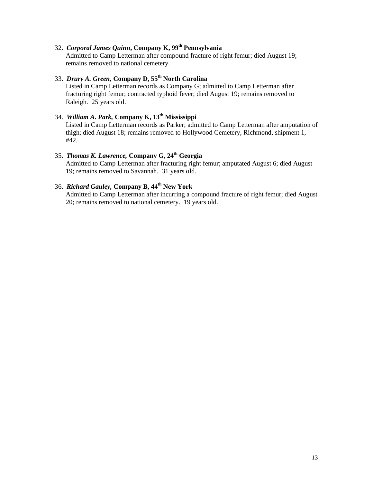### 32. *Corporal James Quinn***, Company K, 99th Pennsylvania**

Admitted to Camp Letterman after compound fracture of right femur; died August 19; remains removed to national cemetery.

# 33. *Drury A. Green,* **Company D, 55th North Carolina**

Listed in Camp Letterman records as Company G; admitted to Camp Letterman after fracturing right femur; contracted typhoid fever; died August 19; remains removed to Raleigh. 25 years old.

### 34. *William A. Park,* **Company K, 13th Mississippi**

Listed in Camp Letterman records as Parker; admitted to Camp Letterman after amputation of thigh; died August 18; remains removed to Hollywood Cemetery, Richmond, shipment 1, #42.

### 35. *Thomas K. Lawrence,* **Company G, 24th Georgia**

Admitted to Camp Letterman after fracturing right femur; amputated August 6; died August 19; remains removed to Savannah. 31 years old.

# 36. *Richard Gauley,* **Company B, 44th New York**

Admitted to Camp Letterman after incurring a compound fracture of right femur; died August 20; remains removed to national cemetery. 19 years old.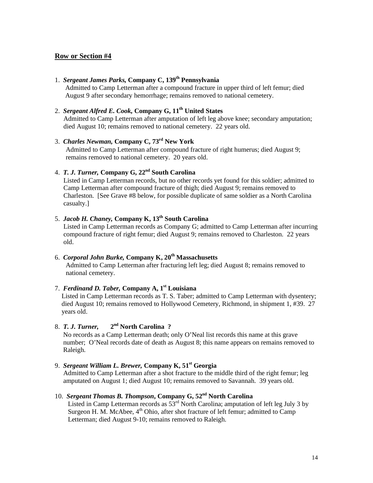### 1. *Sergeant James Parks,* **Company C, 139th Pennsylvania**

Admitted to Camp Letterman after a compound fracture in upper third of left femur; died August 9 after secondary hemorrhage; remains removed to national cemetery.

### 2. *Sergeant Alfred E. Cook,* **Company G, 11th United States**

Admitted to Camp Letterman after amputation of left leg above knee; secondary amputation; died August 10; remains removed to national cemetery. 22 years old.

### 3. *Charles Newman,* **Company C, 73rd New York** Admitted to Camp Letterman after compound fracture of right humerus; died August 9; remains removed to national cemetery. 20 years old.

### 4. *T. J. Turner,* **Company G, 22nd South Carolina**

Listed in Camp Letterman records, but no other records yet found for this soldier; admitted to Camp Letterman after compound fracture of thigh; died August 9; remains removed to Charleston. [See Grave #8 below, for possible duplicate of same soldier as a North Carolina casualty.]

### 5. *Jacob H. Chaney,* **Company K, 13th South Carolina**

Listed in Camp Letterman records as Company G; admitted to Camp Letterman after incurring compound fracture of right femur; died August 9; remains removed to Charleston. 22 years old.

### 6. *Corporal John Burke,* **Company K, 20th Massachusetts**

Admitted to Camp Letterman after fracturing left leg; died August 8; remains removed to national cemetery.

#### 7. *Ferdinand D. Taber,* **Company A, 1st Louisiana**

 Listed in Camp Letterman records as T. S. Taber; admitted to Camp Letterman with dysentery; died August 10; remains removed to Hollywood Cemetery, Richmond, in shipment 1, #39. 27 years old.

### 8. *T. J. Turner,* **2nd North Carolina ?**

 No records as a Camp Letterman death; only O'Neal list records this name at this grave number; O'Neal records date of death as August 8; this name appears on remains removed to Raleigh.

#### 9. *Sergeant William L. Brewer,* **Company K, 51st Georgia**

 Admitted to Camp Letterman after a shot fracture to the middle third of the right femur; leg amputated on August 1; died August 10; remains removed to Savannah. 39 years old.

### 10. *Sergeant Thomas B. Thompson***, Company G, 52nd North Carolina**

Listed in Camp Letterman records as  $53<sup>rd</sup>$  North Carolina; amputation of left leg July 3 by Surgeon H. M. McAbee,  $4<sup>th</sup>$  Ohio, after shot fracture of left femur; admitted to Camp Letterman; died August 9-10; remains removed to Raleigh.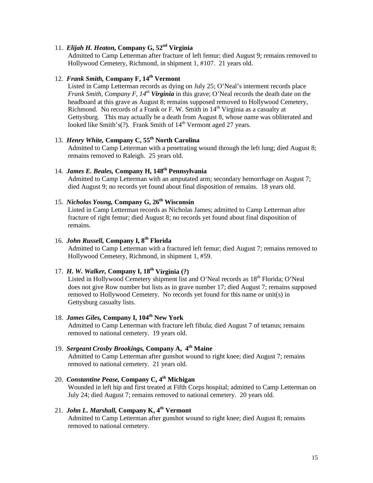### 11. *Elijah H. Heaton,* **Company G, 52nd Virginia**

Admitted to Camp Letterman after fracture of left femur; died August 9; remains removed to Hollywood Cemetery, Richmond, in shipment 1, #107. 21 years old.

### 12. *Frank Smith,* **Company F, 14th Vermont**

Listed in Camp Letterman records as dying on July 25; O'Neal's interment records place *Frank Smith, Company F, 14<sup>th</sup> Virginia* in this grave; O'Neal records the death date on the headboard at this grave as August 8; remains supposed removed to Hollywood Cemetery, Richmond. No records of a Frank or F. W. Smith in  $14<sup>th</sup>$  Virginia as a casualty at Gettysburg. This may actually be a death from August 8, whose name was obliterated and looked like Smith's(?). Frank Smith of  $14<sup>th</sup>$  Vermont aged 27 years.

# 13. *Henry White,* **Company C, 55th North Carolina**

Admitted to Camp Letterman with a penetrating wound through the left lung; died August 8; remains removed to Raleigh. 25 years old.

### 14. *James E. Beales,* **Company H, 148th Pennsylvania**

Admitted to Camp Letterman with an amputated arm; secondary hemorrhage on August 7; died August 9; no records yet found about final disposition of remains. 18 years old.

### 15. *Nicholas Young,* **Company G, 26th Wisconsin**

Listed in Camp Letterman records as Nicholas James; admitted to Camp Letterman after fracture of right femur; died August 8; no records yet found about final disposition of remains.

# 16. *John Russell,* **Company I, 8th Florida**

Admitted to Camp Letterman with a fractured left femur; died August 7; remains removed to Hollywood Cemetery, Richmond, in shipment 1, #59.

#### 17. *H. W. Walker,* **Company I, 18th Virginia (?)**

Listed in Hollywood Cemetery shipment list and O'Neal records as  $18<sup>th</sup>$  Florida; O'Neal does not give Row number but lists as in grave number 17; died August 7; remains supposed removed to Hollywood Cemetery. No records yet found for this name or unit(s) in Gettysburg casualty lists.

### 18. *James Giles,* **Company I, 104th New York**

Admitted to Camp Letterman with fracture left fibula; died August 7 of tetanus; remains removed to national cemetery. 19 years old.

#### 19. *Sergeant Crosby Brookings,* **Company A, 4th Maine**

Admitted to Camp Letterman after gunshot wound to right knee; died August 7; remains removed to national cemetery. 21 years old.

20. *Constantine Pease,* **Company C, 4th Michigan** Wounded in left hip and first treated at Fifth Corps hospital; admitted to Camp Letterman on July 24; died August 7; remains removed to national cemetery. 20 years old.

## 21. *John L. Marshall,* **Company K, 4th Vermont**

Admitted to Camp Letterman after gunshot wound to right knee; died August 8; remains removed to national cemetery.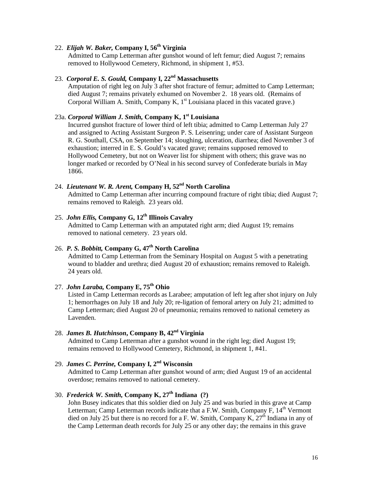### 22. *Elijah W. Baker,* **Company I, 56th Virginia**

Admitted to Camp Letterman after gunshot wound of left femur; died August 7; remains removed to Hollywood Cemetery, Richmond, in shipment 1, #53.

### 23. *Corporal E. S. Gould,* **Company I, 22nd Massachusetts**

Amputation of right leg on July 3 after shot fracture of femur; admitted to Camp Letterman; died August 7; remains privately exhumed on November 2. 18 years old. (Remains of Corporal William A. Smith, Company K,  $1<sup>st</sup>$  Louisiana placed in this vacated grave.)

#### 23a. *Corporal William J. Smith,* **Company K, 1st Louisiana**

Incurred gunshot fracture of lower third of left tibia; admitted to Camp Letterman July 27 and assigned to Acting Assistant Surgeon P. S. Leisenring; under care of Assistant Surgeon R. G. Southall, CSA, on September 14; sloughing, ulceration, diarrhea; died November 3 of exhaustion; interred in E. S. Gould's vacated grave; remains supposed removed to Hollywood Cemetery, but not on Weaver list for shipment with others; this grave was no longer marked or recorded by O'Neal in his second survey of Confederate burials in May 1866.

# 24. *Lieutenant W. R. Arent,* **Company H, 52nd North Carolina**

Admitted to Camp Letterman after incurring compound fracture of right tibia; died August 7; remains removed to Raleigh. 23 years old.

### 25. *John Ellis,* **Company G, 12th Illinois Cavalry**

Admitted to Camp Letterman with an amputated right arm; died August 19; remains removed to national cemetery. 23 years old.

## 26. *P. S. Bobbitt,* **Company G, 47th North Carolina**

Admitted to Camp Letterman from the Seminary Hospital on August 5 with a penetrating wound to bladder and urethra; died August 20 of exhaustion; remains removed to Raleigh. 24 years old.

### 27. *John Laraba,* **Company E, 75th Ohio**

Listed in Camp Letterman records as Larabee; amputation of left leg after shot injury on July 1; hemorrhages on July 18 and July 20; re-ligation of femoral artery on July 21; admitted to Camp Letterman; died August 20 of pneumonia; remains removed to national cemetery as Lavenden.

### 28. *James B. Hutchinson***, Company B, 42nd Virginia**

Admitted to Camp Letterman after a gunshot wound in the right leg; died August 19; remains removed to Hollywood Cemetery, Richmond, in shipment 1, #41.

# 29. *James C. Perrine,* **Company I, 2nd Wisconsin**

Admitted to Camp Letterman after gunshot wound of arm; died August 19 of an accidental overdose; remains removed to national cemetery.

### 30. *Frederick W. Smith,* **Company K, 27th Indiana (?)**

John Busey indicates that this soldier died on July 25 and was buried in this grave at Camp Letterman; Camp Letterman records indicate that a F.W. Smith, Company F, 14<sup>th</sup> Vermont died on July 25 but there is no record for a F. W. Smith, Company  $K$ ,  $27<sup>th</sup>$  Indiana in any of the Camp Letterman death records for July 25 or any other day; the remains in this grave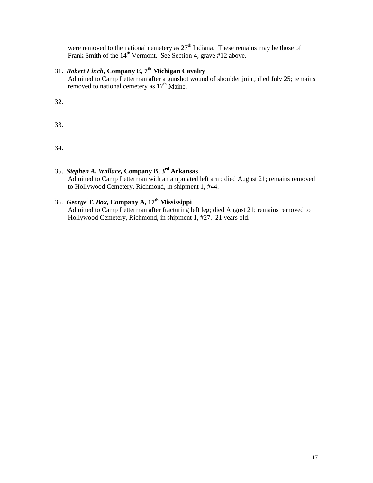were removed to the national cemetery as  $27<sup>th</sup>$  Indiana. These remains may be those of Frank Smith of the 14<sup>th</sup> Vermont. See Section 4, grave #12 above.

# 31. *Robert Finch,* **Company E, 7th Michigan Cavalry**

Admitted to Camp Letterman after a gunshot wound of shoulder joint; died July 25; remains removed to national cemetery as  $17<sup>th</sup>$  Maine.

32.

33.

34.

### 35. *Stephen A. Wallace,* **Company B, 3rd Arkansas** Admitted to Camp Letterman with an amputated left arm; died August 21; remains removed to Hollywood Cemetery, Richmond, in shipment 1, #44.

# 36. *George T. Box,* **Company A, 17th Mississippi**

Admitted to Camp Letterman after fracturing left leg; died August 21; remains removed to Hollywood Cemetery, Richmond, in shipment 1, #27. 21 years old.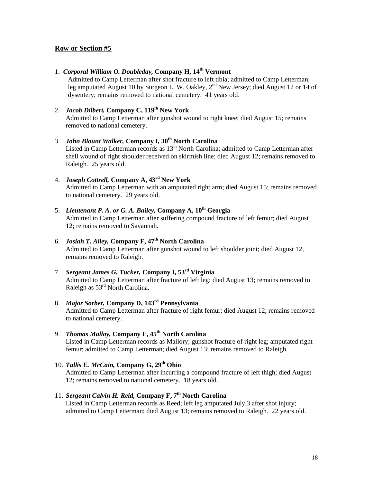### 1. *Corporal William O. Doubleday,* **Company H, 14th Vermont**

Admitted to Camp Letterman after shot fracture to left tibia; admitted to Camp Letterman; leg amputated August 10 by Surgeon L. W. Oakley, 2<sup>nd</sup> New Jersey; died August 12 or 14 of dysentery; remains removed to national cemetery. 41 years old.

### 2. *Jacob Dilbert,* **Company C, 119 th New York**

Admitted to Camp Letterman after gunshot wound to right knee; died August 15; remains removed to national cemetery.

# 3. *John Blount Walker,* **Company I, 30th North Carolina** Listed in Camp Letterman records as 13<sup>th</sup> North Carolina; admitted to Camp Letterman after

shell wound of right shoulder received on skirmish line; died August 12; remains removed to Raleigh. 25 years old.

### 4. *Joseph Cottrell,* **Company A, 43 rd New York** Admitted to Camp Letterman with an amputated right arm; died August 15; remains removed to national cemetery. 29 years old.

#### 5. Lieutenant P. A. or G. A. Bailey, Company A, 10<sup>th</sup> Georgia Admitted to Camp Letterman after suffering compound fracture of left femur; died August 12; remains removed to Savannah.

#### 6. *Josiah T. Alley,* **Company F, 47th North Carolina** Admitted to Camp Letterman after gunshot wound to left shoulder joint; died August 12, remains removed to Raleigh.

#### 7. *Sergeant James G. Tucker,* **Company I, 53rd Virginia** Admitted to Camp Letterman after fracture of left leg; died August 13; remains removed to Raleigh as 53<sup>rd</sup> North Carolina.

#### 8. *Major Sorber,* **Company D, 143 rd Pennsylvania** Admitted to Camp Letterman after fracture of right femur; died August 12; remains removed to national cemetery.

### 9. *Thomas Malloy,* **Company E, 45th North Carolina**

Listed in Camp Letterman records as Mallory; gunshot fracture of right leg; amputated right femur; admitted to Camp Letterman; died August 13; remains removed to Raleigh.

### 10. *Tallis E. McCain,* **Company G, 29th Ohio**

Admitted to Camp Letterman after incurring a compound fracture of left thigh; died August 12; remains removed to national cemetery. 18 years old.

### 11. *Sergeant Calvin H. Reid,* **Company F, 7th North Carolina**

Listed in Camp Letterman records as Reed; left leg amputated July 3 after shot injury; admitted to Camp Letterman; died August 13; remains removed to Raleigh. 22 years old.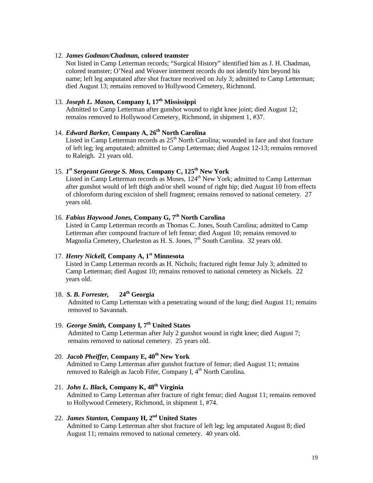#### 12. *James Godman/Chadman,* **colored teamster**

Not listed in Camp Letterman records; "Surgical History" identified him as J. H. Chadman, colored teamster; O'Neal and Weaver interment records do not identify him beyond his name; left leg amputated after shot fracture received on July 3; admitted to Camp Letterman; died August 13; remains removed to Hollywood Cemetery, Richmond.

### 13. *Joseph L. Mason,* **Company I, 17th Mississippi**

Admitted to Camp Letterman after gunshot wound to right knee joint; died August 12; remains removed to Hollywood Cemetery, Richmond, in shipment 1, #37.

### 14. *Edward Barker*, Company A, 26<sup>th</sup> North Carolina

Listed in Camp Letterman records as  $25<sup>th</sup>$  North Carolina; wounded in face and shot fracture of left leg; leg amputated; admitted to Camp Letterman; died August 12-13; remains removed to Raleigh. 21 years old.

### 15. *1 st Sergeant George S. Moss,* **Company C, 125th New York**

Listed in Camp Letterman records as Moses, 124<sup>th</sup> New York; admitted to Camp Letterman after gunshot would of left thigh and/or shell wound of right hip; died August 10 from effects of chloroform during excision of shell fragment; remains removed to national cemetery. 27 years old.

### 16. *Fabius Haywood Jones,* **Company G, 7 th North Carolina**

Listed in Camp Letterman records as Thomas C. Jones, South Carolina; admitted to Camp Letterman after compound fracture of left femur; died August 10; remains removed to Magnolia Cemetery, Charleston as H. S. Jones, 7<sup>th</sup> South Carolina. 32 years old.

### 17. *Henry Nickell,* **Company A, 1 st Minnesota**

Listed in Camp Letterman records as H. Nichols; fractured right femur July 3; admitted to Camp Letterman; died August 10; remains removed to national cemetery as Nickels. 22 years old.

#### 18. *S. B. Forrester,* **24 th Georgia**

Admitted to Camp Letterman with a penetrating wound of the lung; died August 11; remains removed to Savannah.

#### 19. *George Smith,* **Company I, 7th United States** Admitted to Camp Letterman after July 2 gunshot wound in right knee; died August 7; remains removed to national cemetery. 25 years old.

### 20. *Jacob Pheiffer,* **Company E, 40 th New York**

Admitted to Camp Letterman after gunshot fracture of femur; died August 11; remains removed to Raleigh as Jacob Fifer, Company I, 4<sup>th</sup> North Carolina.

### 21. *John L. Black,* **Company K, 48 th Virginia**

Admitted to Camp Letterman after fracture of right femur; died August 11; remains removed to Hollywood Cemetery, Richmond, in shipment 1, #74.

### 22. *James Stanton,* **Company H, 2nd United States**

Admitted to Camp Letterman after shot fracture of left leg; leg amputated August 8; died August 11; remains removed to national cemetery. 40 years old.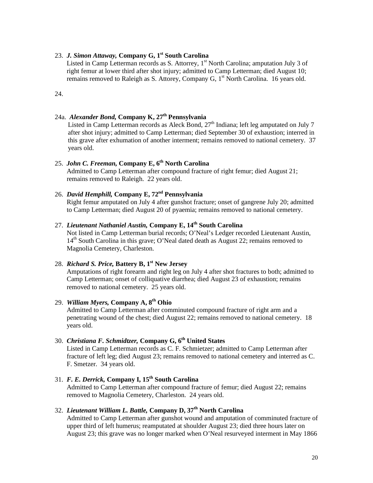#### 23. *J. Simon Attaway, Company G, 1<sup>st</sup> South Carolina*

**J. Simon Attaway, Company G, 1<sup>st</sup> South Carolina**<br>Listed in Camp Letterman records as S. Attorrey, 1<sup>st</sup> North Carolina; amputation July 3 of right femur at lower third after shot injury; admitted to Camp Letterman; died August 10; remains removed to Raleigh as S. Attorey, Company G,  $1<sup>st</sup>$  North Carolina. 16 years old.

24.

### 24a. *Alexander Bond,* **Company K, 27th Pennsylvania**

Listed in Camp Letterman records as Aleck Bond,  $27<sup>th</sup>$  Indiana; left leg amputated on July 7 after shot injury; admitted to Camp Letterman; died September 30 of exhaustion; interred in this grave after exhumation of another interment; remains removed to national cemetery. 37 years old.

### 25. *John C. Freeman,* Company E, 6<sup>th</sup> North Carolina

Admitted to Camp Letterman after compound fracture of right femur; died August 21; remains removed to Raleigh. 22 years old.

### 26. *David Hemphill,* **Company E, 72 nd Pennsylvania**

Right femur amputated on July 4 after gunshot fracture; onset of gangrene July 20; admitted to Camp Letterman; died August 20 of pyaemia; remains removed to national cemetery.

### 27. *Lieutenant Nathaniel Austin,* **Company E, 14th South Carolina**

Not listed in Camp Letterman burial records; O'Neal's Ledger recorded Lieutenant Austin, 14<sup>th</sup> South Carolina in this grave; O'Neal dated death as August 22; remains removed to Magnolia Cemetery, Charleston.

### 28. *Richard S. Price,* **Battery B, 1 st New Jersey**

Amputations of right forearm and right leg on July 4 after shot fractures to both; admitted to Camp Letterman; onset of colliquative diarrhea; died August 23 of exhaustion; remains removed to national cemetery. 25 years old.

### 29. *William Myers,* **Company A, 8th Ohio**

Admitted to Camp Letterman after comminuted compound fracture of right arm and a penetrating wound of the chest; died August 22; remains removed to national cemetery. 18 years old.

### 30. *Christiana F. Schmidtzer,* **Company G, 6th United States**

Listed in Camp Letterman records as C. F. Schmietzer; admitted to Camp Letterman after fracture of left leg; died August 23; remains removed to national cemetery and interred as C. F. Smetzer. 34 years old.

31. *F. E. Derrick,* **Company I, 15th South Carolina** Admitted to Camp Letterman after compound fracture of femur; died August 22; remains removed to Magnolia Cemetery, Charleston. 24 years old.

### 32. *Lieutenant William L. Battle,* **Company D, 37th North Carolina**

Admitted to Camp Letterman after gunshot wound and amputation of comminuted fracture of upper third of left humerus; reamputated at shoulder August 23; died three hours later on August 23; this grave was no longer marked when O'Neal resurveyed interment in May 1866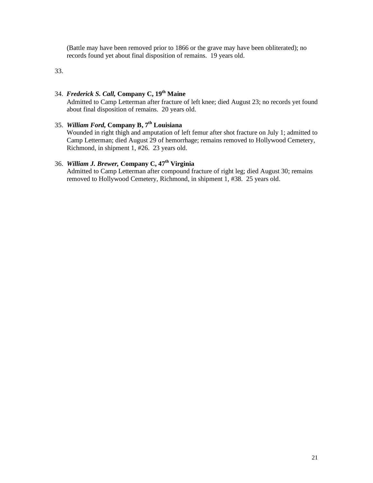(Battle may have been removed prior to 1866 or the grave may have been obliterated); no records found yet about final disposition of remains. 19 years old.

33.

### 34. *Frederick S. Call,* **Company C, 19th Maine**

Admitted to Camp Letterman after fracture of left knee; died August 23; no records yet found about final disposition of remains. 20 years old.

### 35. *William Ford,* **Company B, 7 th Louisiana**

Wounded in right thigh and amputation of left femur after shot fracture on July 1; admitted to Camp Letterman; died August 29 of hemorrhage; remains removed to Hollywood Cemetery, Richmond, in shipment 1, #26. 23 years old.

### 36. *William J. Brewer,* **Company C, 47th Virginia**

Admitted to Camp Letterman after compound fracture of right leg; died August 30; remains removed to Hollywood Cemetery, Richmond, in shipment 1, #38. 25 years old.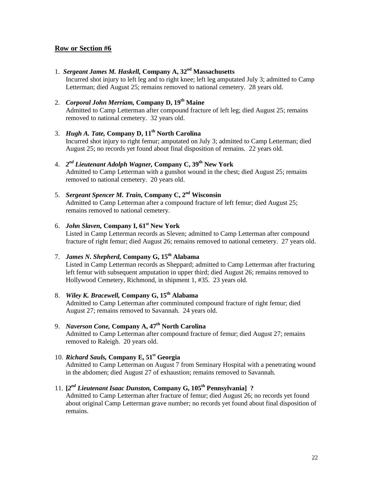1. *Sergeant James M. Haskell,* **Company A, 32nd Massachusetts**

Incurred shot injury to left leg and to right knee; left leg amputated July 3; admitted to Camp Letterman; died August 25; remains removed to national cemetery. 28 years old.

### 2. *Corporal John Merriam,* **Company D, 19 th Maine**

Admitted to Camp Letterman after compound fracture of left leg; died August 25; remains removed to national cemetery. 32 years old.

- 3. *Hugh A. Tate,* **Company D, 11th North Carolina** Incurred shot injury to right femur; amputated on July 3; admitted to Camp Letterman; died August 25; no records yet found about final disposition of remains. 22 years old.
- 4. *2nd Lieutenant Adolph Wagner,* **Company C, 39th New York** Admitted to Camp Letterman with a gunshot wound in the chest; died August 25; remains removed to national cemetery. 20 years old.
- 5. *Sergeant Spencer M. Train,* **Company C, 2nd Wisconsin** Admitted to Camp Letterman after a compound fracture of left femur; died August 25; remains removed to national cemetery.
- 6. *John Slaven,* **Company I, 61st New York** Listed in Camp Letterman records as Sleven; admitted to Camp Letterman after compound fracture of right femur; died August 26; remains removed to national cemetery. 27 years old.

# 7. *James N. Shepherd,* **Company G, 15th Alabama**

Listed in Camp Letterman records as Sheppard; admitted to Camp Letterman after fracturing left femur with subsequent amputation in upper third; died August 26; remains removed to Hollywood Cemetery, Richmond, in shipment 1, #35. 23 years old.

### 8. *Wiley K. Bracewell,* **Company G, 15th Alabama**

Admitted to Camp Letterman after comminuted compound fracture of right femur; died August 27; remains removed to Savannah. 24 years old.

### 9. *Naverson Cone,* **Company A, 47th North Carolina**

Admitted to Camp Letterman after compound fracture of femur; died August 27; remains removed to Raleigh. 20 years old.

### 10. *Richard Sauls*, Company E, 51<sup>st</sup> Georgia

Admitted to Camp Letterman on August 7 from Seminary Hospital with a penetrating wound in the abdomen; died August 27 of exhaustion; remains removed to Savannah.

### 11. **[***2nd Lieutenant Isaac Dunston,* **Company G, 105th Pennsylvania] ?**

Admitted to Camp Letterman after fracture of femur; died August 26; no records yet found about original Camp Letterman grave number; no records yet found about final disposition of remains.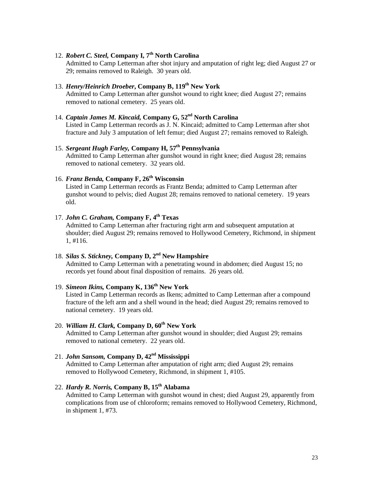### 12. *Robert C. Steel,* **Company I, 7th North Carolina**

Admitted to Camp Letterman after shot injury and amputation of right leg; died August 27 or 29; remains removed to Raleigh. 30 years old.

#### 13. *Henry/Heinrich Droeber***, Company B, 119th New York** Admitted to Camp Letterman after gunshot wound to right knee; died August 27; remains removed to national cemetery. 25 years old.

### 14. *Captain James M. Kincaid, Company G, 52<sup>nd</sup> North Carolina*

Listed in Camp Letterman records as J. N. Kincaid; admitted to Camp Letterman after shot fracture and July 3 amputation of left femur; died August 27; remains removed to Raleigh.

15. *Sergeant Hugh Farley,* **Company H, 57th Pennsylvania** Admitted to Camp Letterman after gunshot wound in right knee; died August 28; remains removed to national cemetery. 32 years old.

### 16. *Franz Benda*, Company F, 26<sup>th</sup> Wisconsin

Listed in Camp Letterman records as Frantz Benda; admitted to Camp Letterman after gunshot wound to pelvis; died August 28; remains removed to national cemetery. 19 years old.

### 17. *John C. Graham*, Company F, 4<sup>th</sup> Texas

Admitted to Camp Letterman after fracturing right arm and subsequent amputation at shoulder; died August 29; remains removed to Hollywood Cemetery, Richmond, in shipment 1, #116.

### 18. *Silas S. Stickney,* **Company D, 2nd New Hampshire**

Admitted to Camp Letterman with a penetrating wound in abdomen; died August 15; no records yet found about final disposition of remains. 26 years old.

### 19. *Simeon Ikins,* **Company K, 136th New York**

Listed in Camp Letterman records as Ikens; admitted to Camp Letterman after a compound fracture of the left arm and a shell wound in the head; died August 29; remains removed to national cemetery. 19 years old.

### 20. *William H. Clark, Co*mpany D,  $60^{\text{th}}$  New York

Admitted to Camp Letterman after gunshot wound in shoulder; died August 29; remains removed to national cemetery. 22 years old.

### 21. *John Sansom,* **Company D, 42nd Mississippi**

Admitted to Camp Letterman after amputation of right arm; died August 29; remains removed to Hollywood Cemetery, Richmond, in shipment 1, #105.

### 22. *Hardy R. Norris,* **Company B, 15th Alabama**

Admitted to Camp Letterman with gunshot wound in chest; died August 29, apparently from complications from use of chloroform; remains removed to Hollywood Cemetery, Richmond, in shipment 1, #73.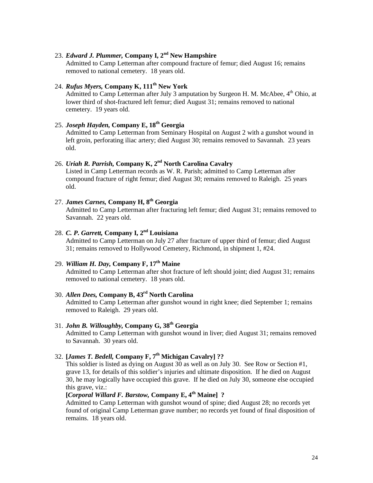### 23. *Edward J. Plummer,* **Company I, 2nd New Hampshire**

Admitted to Camp Letterman after compound fracture of femur; died August 16; remains removed to national cemetery. 18 years old.

### 24. *Rufus Myers,* **Company K, 111th New York**

Admitted to Camp Letterman after July 3 amputation by Surgeon H. M. McAbee, 4<sup>th</sup> Ohio, at lower third of shot-fractured left femur; died August 31; remains removed to national cemetery. 19 years old.

### 25. *Joseph Hayden,* **Company E, 18 th Georgia**

Admitted to Camp Letterman from Seminary Hospital on August 2 with a gunshot wound in left groin, perforating iliac artery; died August 30; remains removed to Savannah. 23 years old.

### 26. *Uriah R. Parrish,* **Company K, 2nd North Carolina Cavalry**

Listed in Camp Letterman records as W. R. Parish; admitted to Camp Letterman after compound fracture of right femur; died August 30; remains removed to Raleigh. 25 years old.

### 27. *James Carnes,* **Company H, 8th Georgia**

Admitted to Camp Letterman after fracturing left femur; died August 31; remains removed to Savannah. 22 years old.

### 28. *C. P. Garrett,* **Company I, 2nd Louisiana**

Admitted to Camp Letterman on July 27 after fracture of upper third of femur; died August 31; remains removed to Hollywood Cemetery, Richmond, in shipment 1, #24.

### 29. *William H. Day,* **Company F, 17th Maine**

Admitted to Camp Letterman after shot fracture of left should joint; died August 31; remains removed to national cemetery. 18 years old.

# 30. *Allen Dees,* **Company B, 43rd North Carolina**

Admitted to Camp Letterman after gunshot wound in right knee; died September 1; remains removed to Raleigh. 29 years old.

### 31. *John B. Willoughby,* **Company G, 38th Georgia**

Admitted to Camp Letterman with gunshot wound in liver; died August 31; remains removed to Savannah. 30 years old.

### 32. **[***James T. Bedell,* **Company F, 7th Michigan Cavalry] ??**

This soldier is listed as dying on August 30 as well as on July 30. See Row or Section #1, grave 13, for details of this soldier's injuries and ultimate disposition. If he died on August 30, he may logically have occupied this grave. If he died on July 30, someone else occupied this grave, viz.:

### **[***Corporal Willard F. Barstow,* **Company E, 4 th Maine] ?**

Admitted to Camp Letterman with gunshot wound of spine; died August 28; no records yet found of original Camp Letterman grave number; no records yet found of final disposition of remains. 18 years old.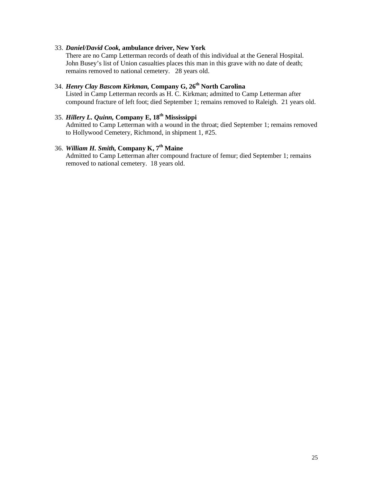#### 33. *Daniel/David Cook,* **ambulance driver, New York**

There are no Camp Letterman records of death of this individual at the General Hospital. John Busey's list of Union casualties places this man in this grave with no date of death; remains removed to national cemetery. 28 years old.

### 34. *Henry Clay Bascom Kirkman,* **Company G, 26th North Carolina**

Listed in Camp Letterman records as H. C. Kirkman; admitted to Camp Letterman after compound fracture of left foot; died September 1; remains removed to Raleigh. 21 years old.

### 35. *Hillery L. Quinn,* **Company E, 18th Mississippi**

Admitted to Camp Letterman with a wound in the throat; died September 1; remains removed to Hollywood Cemetery, Richmond, in shipment 1, #25.

### 36. *William H. Smith,* **Company K, 7th Maine**

Admitted to Camp Letterman after compound fracture of femur; died September 1; remains removed to national cemetery. 18 years old.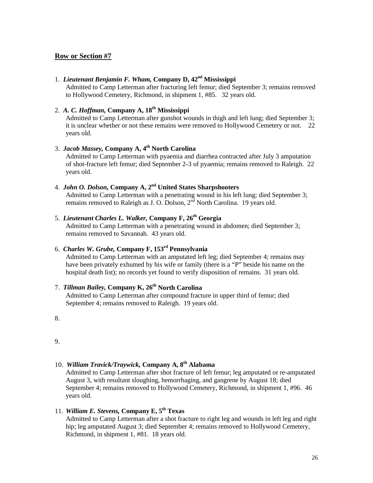#### 1. *Lieutenant Benjamin F. Wham,* **Company D, 42nd Mississippi**

Admitted to Camp Letterman after fracturing left femur; died September 3; remains removed to Hollywood Cemetery, Richmond, in shipment 1, #85. 32 years old.

# 2. *A. C. Hoffman,* **Company A, 18th Mississippi**

Admitted to Camp Letterman after gunshot wounds in thigh and left lung; died September 3; it is unclear whether or not these remains were removed to Hollywood Cemetery or not. 22 years old.

### 3. *Jacob Massey,* **Company A, 4th North Carolina**

Admitted to Camp Letterman with pyaemia and diarrhea contracted after July 3 amputation of shot-fracture left femur; died September 2-3 of pyaemia; remains removed to Raleigh. 22 years old.

# 4. *John O. Dolson,* **Company A, 2nd United States Sharpshooters**

Admitted to Camp Letterman with a penetrating wound in his left lung; died September 3; remains removed to Raleigh as J. O. Dolson,  $2^{\overline{nd}}$  North Carolina. 19 years old.

### 5. *Lieutenant Charles L. Walker,* **Company F, 26th Georgia**

Admitted to Camp Letterman with a penetrating wound in abdomen; died September 3; remains removed to Savannah. 43 years old.

### 6. *Charles W. Grube,* **Company F, 153rd Pennsylvania**

Admitted to Camp Letterman with an amputated left leg; died September 4; remains may have been privately exhumed by his wife or family (there is a "P" beside his name on the hospital death list); no records yet found to verify disposition of remains. 31 years old.

# 7. *Tillman Bailey,* **Company K, 26th North Carolina**

Admitted to Camp Letterman after compound fracture in upper third of femur; died September 4; remains removed to Raleigh. 19 years old.

8.

9.

### 10. *William Travick/Traywick,* **Company A, 8th Alabama**

Admitted to Camp Letterman after shot fracture of left femur; leg amputated or re-amputated August 3, with resultant sloughing, hemorrhaging, and gangrene by August 18; died September 4; remains removed to Hollywood Cemetery, Richmond, in shipment 1, #96. 46 years old.

### 11. *William E. Stevens,* **Company E, 5 th Texas**

Admitted to Camp Letterman after a shot fracture to right leg and wounds in left leg and right hip; leg amputated August 3; died September 4; remains removed to Hollywood Cemetery, Richmond, in shipment 1, #81. 18 years old.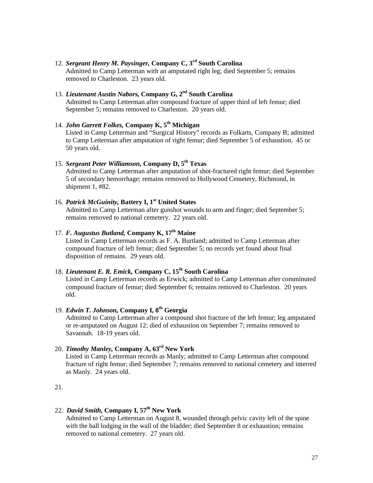### 12. *Sergeant Henry M. Paysinger,* **Company C, 3rd South Carolina**

Admitted to Camp Letterman with an amputated right leg; died September 5; remains removed to Charleston. 23 years old.

### 13. *Lieutenant Austin Nabors,* **Company G, 2nd South Carolina**

Admitted to Camp Letterman after compound fracture of upper third of left femur; died September 5; remains removed to Charleston. 20 years old.

# 14. *John Garrett Folkes, Company K,* 5<sup>th</sup> Michigan

Listed in Camp Letterman and "Surgical History" records as Folkarts, Company B; admitted to Camp Letterman after amputation of right femur; died September 5 of exhaustion. 45 or 50 years old.

### 15. *Sergeant Peter Williamson,* **Company D, 5th Texas**

Admitted to Camp Letterman after amputation of shot-fractured right femur; died September 5 of secondary hemorrhage; remains removed to Hollywood Cemetery, Richmond, in shipment 1, #82.

### 16. *Patrick McGuinity,* **Battery I, 1st United States**

Admitted to Camp Letterman after gunshot wounds to arm and finger; died September 5; remains removed to national cemetery. 22 years old.

### 17. *F. Augustus Butland,* **Company K, 17th Maine**

Listed in Camp Letterman records as F. A. Burtland; admitted to Camp Letterman after compound fracture of left femur; died September 5; no records yet found about final disposition of remains. 29 years old.

### 18. *Lieutenant E. R. Emick,* **Company C, 15th South Carolina**

Listed in Camp Letterman records as Erwick; admitted to Camp Letterman after comminuted compound fracture of femur; died September 6; remains removed to Charleston. 20 years old.

### 19. *Edwin T. Johnson,* **Company I, 8th Georgia**

Admitted to Camp Letterman after a compound shot fracture of the left femur; leg amputated or re-amputated on August 12; died of exhaustion on September 7; remains removed to Savannah. 18-19 years old.

### 20. *Timothy Manley,* **Company A, 63rd New York**

Listed in Camp Letterman records as Manly; admitted to Camp Letterman after compound fracture of right femur; died September 7; remains removed to national cemetery and interred as Manly. 24 years old.

### 21.

### 22. *David Smith,* **Company I, 57 th New York**

Admitted to Camp Letterman on August 8, wounded through pelvic cavity left of the spine with the ball lodging in the wall of the bladder; died September 8 or exhaustion; remains removed to national cemetery. 27 years old.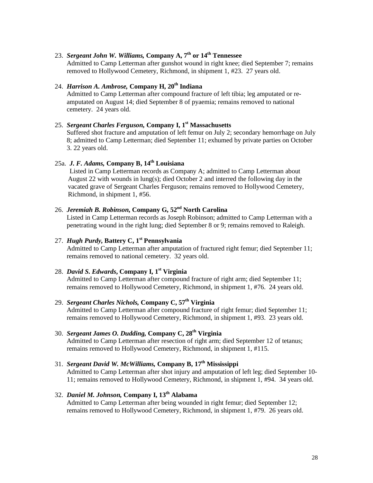### 23. *Sergeant John W. Williams,* **Company A, 7th or 14th Tennessee**

Admitted to Camp Letterman after gunshot wound in right knee; died September 7; remains removed to Hollywood Cemetery, Richmond, in shipment 1, #23. 27 years old.

### 24. *Harrison A. Ambrose,* **Company H, 20th Indiana**

Admitted to Camp Letterman after compound fracture of left tibia; leg amputated or reamputated on August 14; died September 8 of pyaemia; remains removed to national cemetery. 24 years old.

# 25. *Sergeant Charles Ferguson,* **Company I, 1st Massachusetts**

Suffered shot fracture and amputation of left femur on July 2; secondary hemorrhage on July 8; admitted to Camp Letterman; died September 11; exhumed by private parties on October 3. 22 years old.

### 25a. *J. F. Adams,* **Company B, 14 th Louisiana**

Listed in Camp Letterman records as Company A; admitted to Camp Letterman about August 22 with wounds in lung(s); died October 2 and interred the following day in the vacated grave of Sergeant Charles Ferguson; remains removed to Hollywood Cemetery, Richmond, in shipment 1, #56.

### 26. *Jeremiah B. Robinson,* Company G, 52<sup>nd</sup> North Carolina

Listed in Camp Letterman records as Joseph Robinson; admitted to Camp Letterman with a penetrating wound in the right lung; died September 8 or 9; remains removed to Raleigh.

### 27. *Hugh Purdy,* **Battery C, 1st Pennsylvania**

Admitted to Camp Letterman after amputation of fractured right femur; died September 11; remains removed to national cemetery. 32 years old.

### 28. *David S. Edwards***, Company I, 1st Virginia**

Admitted to Camp Letterman after compound fracture of right arm; died September 11; remains removed to Hollywood Cemetery, Richmond, in shipment 1, #76. 24 years old.

### 29. *Sergeant Charles Nichols,* **Company C, 57th Virginia**

Admitted to Camp Letterman after compound fracture of right femur; died September 11; remains removed to Hollywood Cemetery, Richmond, in shipment 1, #93. 23 years old.

### 30. *Sergeant James O. Dudding,* **Company C, 28th Virginia**

Admitted to Camp Letterman after resection of right arm; died September 12 of tetanus; remains removed to Hollywood Cemetery, Richmond, in shipment 1, #115.

### 31. *Sergeant David W. McWilliams,* **Company B, 17th Mississippi**

Admitted to Camp Letterman after shot injury and amputation of left leg; died September 10- 11; remains removed to Hollywood Cemetery, Richmond, in shipment 1, #94. 34 years old.

### 32. *Daniel M. Johnson,* **Company I, 13th Alabama**

Admitted to Camp Letterman after being wounded in right femur; died September 12; remains removed to Hollywood Cemetery, Richmond, in shipment 1, #79. 26 years old.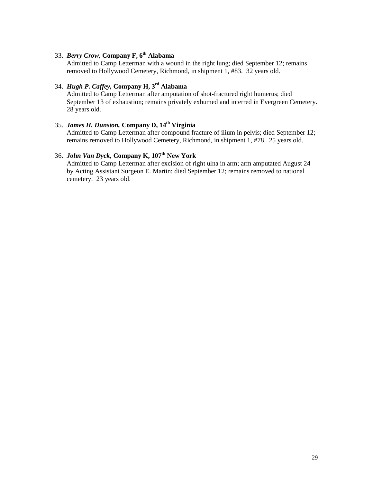### 33. *Berry Crow,* **Company F, 6th Alabama**

Admitted to Camp Letterman with a wound in the right lung; died September 12; remains removed to Hollywood Cemetery, Richmond, in shipment 1, #83. 32 years old.

### 34. *Hugh P. Caffey,* **Company H, 3rd Alabama**

Admitted to Camp Letterman after amputation of shot-fractured right humerus; died September 13 of exhaustion; remains privately exhumed and interred in Evergreen Cemetery. 28 years old.

### 35. *James H. Dunston,* **Company D, 14th Virginia**

Admitted to Camp Letterman after compound fracture of ilium in pelvis; died September 12; remains removed to Hollywood Cemetery, Richmond, in shipment 1, #78. 25 years old.

### 36. *John Van Dyck,* **Company K, 107th New York**

Admitted to Camp Letterman after excision of right ulna in arm; arm amputated August 24 by Acting Assistant Surgeon E. Martin; died September 12; remains removed to national cemetery. 23 years old.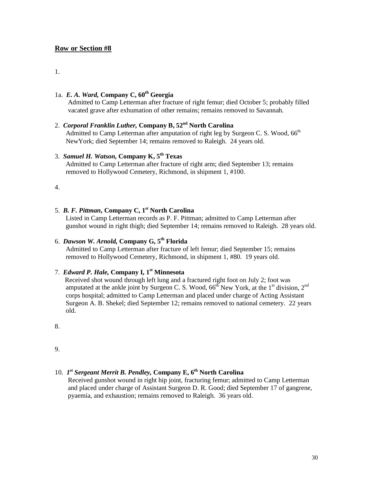#### 1.

### 1a. *E. A. Ward,* **Company C, 60th Georgia**

Admitted to Camp Letterman after fracture of right femur; died October 5; probably filled vacated grave after exhumation of other remains; remains removed to Savannah.

### 2. *Corporal Franklin Luther,* **Company B, 52nd North Carolina**

Admitted to Camp Letterman after amputation of right leg by Surgeon C. S. Wood, 66<sup>th</sup> NewYork; died September 14; remains removed to Raleigh. 24 years old.

### 3. *Samuel H. Watson,* **Company K, 5th Texas**

Admitted to Camp Letterman after fracture of right arm; died September 13; remains removed to Hollywood Cemetery, Richmond, in shipment 1, #100.

4.

## 5. *B. F. Pittman***, Company C, 1st North Carolina**

Listed in Camp Letterman records as P. F. Pittman; admitted to Camp Letterman after gunshot wound in right thigh; died September 14; remains removed to Raleigh. 28 years old.

# 6. *Dawson W. Arnold,* **Company G, 5th Florida**

Admitted to Camp Letterman after fracture of left femur; died September 15; remains removed to Hollywood Cemetery, Richmond, in shipment 1, #80. 19 years old.

### 7. *Edward P. Hale,* **Company I, 1st Minnesota**

 Received shot wound through left lung and a fractured right foot on July 2; foot was amputated at the ankle joint by Surgeon C. S. Wood,  $66<sup>th</sup>$  New York, at the 1<sup>st</sup> division, 2<sup>nd</sup> corps hospital; admitted to Camp Letterman and placed under charge of Acting Assistant Surgeon A. B. Shekel; died September 12; remains removed to national cemetery. 22 years old.

8.

9.

#### 10. *1st Sergeant Merrit B. Pendley,* **Company E, 6th North Carolina**

Received gunshot wound in right hip joint, fracturing femur; admitted to Camp Letterman and placed under charge of Assistant Surgeon D. R. Good; died September 17 of gangrene, pyaemia, and exhaustion; remains removed to Raleigh. 36 years old.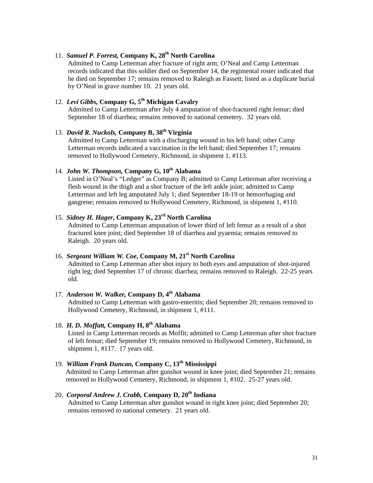### 11. *Samuel P. Forrest,* **Company K, 28th North Carolina**

Admitted to Camp Letterman after fracture of right arm; O'Neal and Camp Letterman records indicated that this soldier died on September 14, the regimental roster indicated that he died on September 17; remains removed to Raleigh as Fassett; listed as a duplicate burial by O'Neal in grave number 10. 21 years old.

### 12. *Levi Gibbs,* **Company G, 5th Michigan Cavalry**

Admitted to Camp Letterman after July 4 amputation of shot-fractured right femur; died September 18 of diarrhea; remains removed to national cemetery. 32 years old.

### 13. *David R. Nuckols,* **Company B, 38th Virginia**

Admitted to Camp Letterman with a discharging wound in his left hand; other Camp Letterman records indicated a vaccination in the left hand; died September 17; remains removed to Hollywood Cemetery, Richmond, in shipment 1, #113.

## 14. *John W. Thompson,* **Company G, 10th Alabama**

Listed in O'Neal's "Ledger" as Company B; admitted to Camp Letterman after receiving a flesh wound in the thigh and a shot fracture of the left ankle joint; admitted to Camp Letterman and left leg amputated July 1; died September 18-19 or hemorrhaging and gangrene; remains removed to Hollywood Cemetery, Richmond, in shipment 1, #110.

### 15. *Sidney H. Hager***, Company K, 23rd North Carolina**

Admitted to Camp Letterman amputation of lower third of left femur as a result of a shot fractured knee joint; died September 18 of diarrhea and pyaemia; remains removed to Raleigh. 20 years old.

### 16. *Sergeant William W. Coe***, Company M, 21st North Carolina**

Admitted to Camp Letterman after shot injury to both eyes and amputation of shot-injured right leg; died September 17 of chronic diarrhea; remains removed to Raleigh. 22-25 years old.

### 17. *Anderson W. Walker,* **Company D, 4th Alabama**

Admitted to Camp Letterman with gastro-enteritis; died September 20; remains removed to Hollywood Cemetery, Richmond, in shipment 1, #111.

### 18. *H. D. Moffatt,* **Company H, 8th Alabama**

Listed in Camp Letterman records as Moffit; admitted to Camp Letterman after shot fracture of left femur; died September 19; remains removed to Hollywood Cemetery, Richmond, in shipment 1, #117. 17 years old.

# 19. *William Frank Duncan,* **Company C, 13th Mississippi**

Admitted to Camp Letterman after gunshot wound in knee joint; died September 21; remains removed to Hollywood Cemetery, Richmond, in shipment 1, #102. 25-27 years old.

### 20. *Corporal Andrew J. Crabb,* **Company D, 20th Indiana**

Admitted to Camp Letterman after gunshot wound in right knee joint; died September 20; remains removed to national cemetery. 21 years old.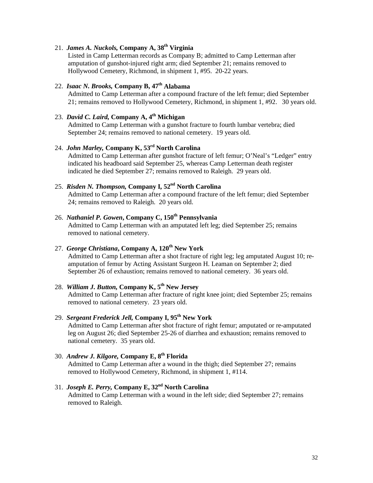### 21. *James A. Nuckols,* **Company A, 38th Virginia**

Listed in Camp Letterman records as Company B; admitted to Camp Letterman after amputation of gunshot-injured right arm; died September 21; remains removed to Hollywood Cemetery, Richmond, in shipment 1, #95. 20-22 years.

# 22. *Isaac N. Brooks,* **Company B, 47th Alabama**

Admitted to Camp Letterman after a compound fracture of the left femur; died September 21; remains removed to Hollywood Cemetery, Richmond, in shipment 1, #92. 30 years old.

### 23. *David C. Laird,* **Company A, 4th Michigan**

Admitted to Camp Letterman with a gunshot fracture to fourth lumbar vertebra; died September 24; remains removed to national cemetery. 19 years old.

### 24. *John Marley,* **Company K, 53rd North Carolina**

Admitted to Camp Letterman after gunshot fracture of left femur; O'Neal's "Ledger" entry indicated his headboard said September 25, whereas Camp Letterman death register indicated he died September 27; remains removed to Raleigh. 29 years old.

# 25. *Risden N. Thompson,* **Company I, 52nd North Carolina**

Admitted to Camp Letterman after a compound fracture of the left femur; died September 24; remains removed to Raleigh. 20 years old.

### 26. *Nathaniel P. Gowen***, Company C, 150th Pennsylvania**

Admitted to Camp Letterman with an amputated left leg; died September 25; remains removed to national cemetery.

# 27. *George Christiana***, Company A, 120th New York**

Admitted to Camp Letterman after a shot fracture of right leg; leg amputated August 10; reamputation of femur by Acting Assistant Surgeon H. Leaman on September 2; died September 26 of exhaustion; remains removed to national cemetery. 36 years old.

### 28. *William J. Button,* **Company K, 5th New Jersey**

Admitted to Camp Letterman after fracture of right knee joint; died September 25; remains removed to national cemetery. 23 years old.

### 29. *Sergeant Frederick Jell,* **Company I, 95th New York**

Admitted to Camp Letterman after shot fracture of right femur; amputated or re-amputated leg on August 26; died September 25-26 of diarrhea and exhaustion; remains removed to national cemetery. 35 years old.

### 30. *Andrew J. Kilgore,* **Company E, 8th Florida**

Admitted to Camp Letterman after a wound in the thigh; died September 27; remains removed to Hollywood Cemetery, Richmond, in shipment 1, #114.

### 31. *Joseph E. Perry,* **Company E, 32nd North Carolina**

Admitted to Camp Letterman with a wound in the left side; died September 27; remains removed to Raleigh.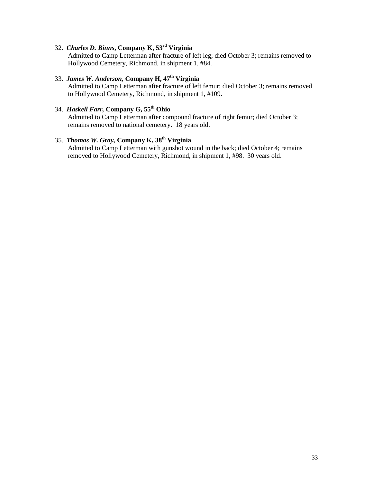### 32. *Charles D. Binns***, Company K, 53rd Virginia**

Admitted to Camp Letterman after fracture of left leg; died October 3; remains removed to Hollywood Cemetery, Richmond, in shipment 1, #84.

### 33. *James W. Anderson,* **Company H, 47th Virginia**

Admitted to Camp Letterman after fracture of left femur; died October 3; remains removed to Hollywood Cemetery, Richmond, in shipment 1, #109.

## 34. *Haskell Farr,* **Company G, 55th Ohio**

Admitted to Camp Letterman after compound fracture of right femur; died October 3; remains removed to national cemetery. 18 years old.

# 35. *Thomas W. Gray,* **Company K, 38th Virginia**

Admitted to Camp Letterman with gunshot wound in the back; died October 4; remains removed to Hollywood Cemetery, Richmond, in shipment 1, #98. 30 years old.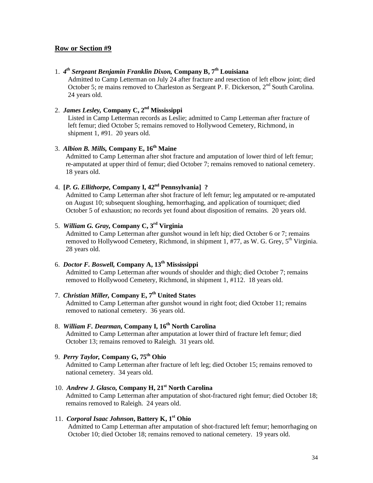### 1. *4th Sergeant Benjamin Franklin Dixon,* **Company B, 7th Louisiana**

Admitted to Camp Letterman on July 24 after fracture and resection of left elbow joint; died October 5; re mains removed to Charleston as Sergeant P. F. Dickerson, 2<sup>nd</sup> South Carolina. 24 years old.

## 2. *James Lesley,* **Company C, 2nd Mississippi**

Listed in Camp Letterman records as Leslie; admitted to Camp Letterman after fracture of left femur; died October 5; remains removed to Hollywood Cemetery, Richmond, in shipment 1, #91. 20 years old.

### 3. *Albion B. Mills,* **Company E, 16th Maine**

Admitted to Camp Letterman after shot fracture and amputation of lower third of left femur; re-amputated at upper third of femur; died October 7; remains removed to national cemetery. 18 years old.

## 4. **[***P. G. Ellithorpe,* **Company I, 42nd Pennsylvania] ?**

Admitted to Camp Letterman after shot fracture of left femur; leg amputated or re-amputated on August 10; subsequent sloughing, hemorrhaging, and application of tourniquet; died October 5 of exhaustion; no records yet found about disposition of remains. 20 years old.

# 5. *William G. Gray,* **Company C, 3rd Virginia**

Admitted to Camp Letterman after gunshot wound in left hip; died October 6 or 7; remains removed to Hollywood Cemetery, Richmond, in shipment 1, #77, as W. G. Grey,  $5<sup>th</sup>$  Virginia. 28 years old.

### 6. *Doctor F. Boswell,* **Company A, 13th Mississippi**

Admitted to Camp Letterman after wounds of shoulder and thigh; died October 7; remains removed to Hollywood Cemetery, Richmond, in shipment 1, #112. 18 years old.

### 7. *Christian Miller,* **Company E, 7th United States**

Admitted to Camp Letterman after gunshot wound in right foot; died October 11; remains removed to national cemetery. 36 years old.

### 8. *William F. Dearman,* **Company I, 16th North Carolina**

Admitted to Camp Letterman after amputation at lower third of fracture left femur; died October 13; remains removed to Raleigh. 31 years old.

## 9. *Perry Taylor,* **Company G, 75th Ohio**

Admitted to Camp Letterman after fracture of left leg; died October 15; remains removed to national cemetery. 34 years old.

10. *Andrew J. Glasco,* **Company H, 21st North Carolina** Admitted to Camp Letterman after amputation of shot-fractured right femur; died October 18; remains removed to Raleigh. 24 years old.

#### 11. *Corporal Isaac Johnson***, Battery K, 1st Ohio**

Admitted to Camp Letterman after amputation of shot-fractured left femur; hemorrhaging on October 10; died October 18; remains removed to national cemetery. 19 years old.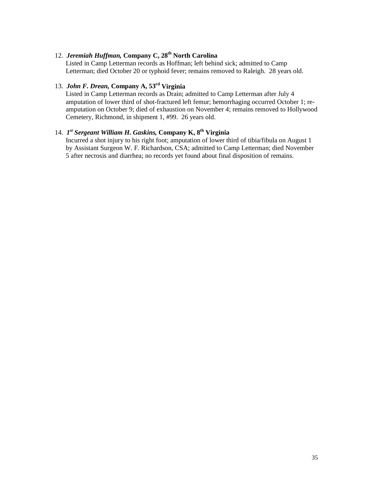# 12. *Jeremiah Huffman,* **Company C, 28th North Carolina**

Listed in Camp Letterman records as Hoffman; left behind sick; admitted to Camp Letterman; died October 20 or typhoid fever; remains removed to Raleigh. 28 years old.

# 13. *John F. Drean,* **Company A, 53rd Virginia**

Listed in Camp Letterman records as Drain; admitted to Camp Letterman after July 4 amputation of lower third of shot-fractured left femur; hemorrhaging occurred October 1; reamputation on October 9; died of exhaustion on November 4; remains removed to Hollywood Cemetery, Richmond, in shipment 1, #99. 26 years old.

# 14. *1st Sergeant William H. Gaskins,* **Company K, 8th Virginia**

Incurred a shot injury to his right foot; amputation of lower third of tibia/fibula on August 1 by Assistant Surgeon W. F. Richardson, CSA; admitted to Camp Letterman; died November 5 after necrosis and diarrhea; no records yet found about final disposition of remains.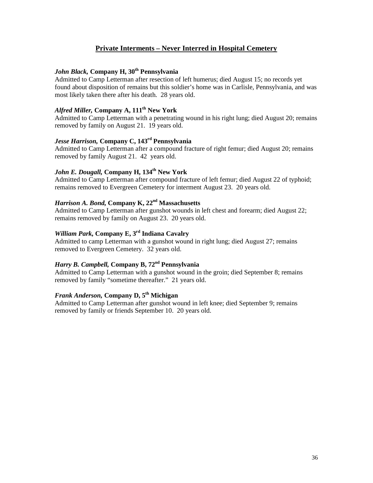### **Private Interments – Never Interred in Hospital Cemetery**

### *John Black,* **Company H, 30th Pennsylvania**

Admitted to Camp Letterman after resection of left humerus; died August 15; no records yet found about disposition of remains but this soldier's home was in Carlisle, Pennsylvania, and was most likely taken there after his death. 28 years old.

### *Alfred Miller,* **Company A, 111th New York**

Admitted to Camp Letterman with a penetrating wound in his right lung; died August 20; remains removed by family on August 21. 19 years old.

### *Jesse Harrison,* **Company C, 143rd Pennsylvania**

Admitted to Camp Letterman after a compound fracture of right femur; died August 20; remains removed by family August 21. 42 years old.

### *John E. Dougall,* **Company H, 134th New York**

Admitted to Camp Letterman after compound fracture of left femur; died August 22 of typhoid; remains removed to Evergreen Cemetery for interment August 23. 20 years old.

## *Harrison A. Bond,* **Company K, 22nd Massachusetts**

Admitted to Camp Letterman after gunshot wounds in left chest and forearm; died August 22; remains removed by family on August 23. 20 years old.

# *William Park,* **Company E, 3rd Indiana Cavalry**

Admitted to camp Letterman with a gunshot wound in right lung; died August 27; remains removed to Evergreen Cemetery. 32 years old.

#### *Harry B. Campbell,* **Company B, 72nd Pennsylvania**

Admitted to Camp Letterman with a gunshot wound in the groin; died September 8; remains removed by family "sometime thereafter." 21 years old.

### *Frank Anderson,* **Company D, 5th Michigan**

Admitted to Camp Letterman after gunshot wound in left knee; died September 9; remains removed by family or friends September 10. 20 years old.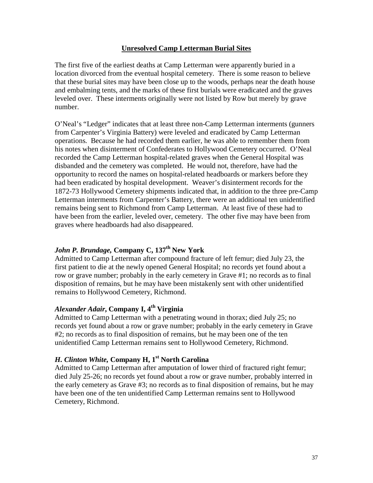### **Unresolved Camp Letterman Burial Sites**

The first five of the earliest deaths at Camp Letterman were apparently buried in a location divorced from the eventual hospital cemetery. There is some reason to believe that these burial sites may have been close up to the woods, perhaps near the death house and embalming tents, and the marks of these first burials were eradicated and the graves leveled over. These interments originally were not listed by Row but merely by grave number.

O'Neal's "Ledger" indicates that at least three non-Camp Letterman interments (gunners from Carpenter's Virginia Battery) were leveled and eradicated by Camp Letterman operations. Because he had recorded them earlier, he was able to remember them from his notes when disinterment of Confederates to Hollywood Cemetery occurred. O'Neal recorded the Camp Letterman hospital-related graves when the General Hospital was disbanded and the cemetery was completed. He would not, therefore, have had the opportunity to record the names on hospital-related headboards or markers before they had been eradicated by hospital development. Weaver's disinterment records for the 1872-73 Hollywood Cemetery shipments indicated that, in addition to the three pre-Camp Letterman interments from Carpenter's Battery, there were an additional ten unidentified remains being sent to Richmond from Camp Letterman. At least five of these had to have been from the earlier, leveled over, cemetery. The other five may have been from graves where headboards had also disappeared.

# *John P. Brundage, Company C, 137<sup>th</sup> New York*

Admitted to Camp Letterman after compound fracture of left femur; died July 23, the first patient to die at the newly opened General Hospital; no records yet found about a row or grave number; probably in the early cemetery in Grave #1; no records as to final disposition of remains, but he may have been mistakenly sent with other unidentified remains to Hollywood Cemetery, Richmond.

### *Alexander Adair***, Company I, 4th Virginia**

Admitted to Camp Letterman with a penetrating wound in thorax; died July 25; no records yet found about a row or grave number; probably in the early cemetery in Grave #2; no records as to final disposition of remains, but he may been one of the ten unidentified Camp Letterman remains sent to Hollywood Cemetery, Richmond.

### *H. Clinton White, Company H, 1<sup>st</sup> North Carolina*

Admitted to Camp Letterman after amputation of lower third of fractured right femur; died July 25-26; no records yet found about a row or grave number, probably interred in the early cemetery as Grave #3; no records as to final disposition of remains, but he may have been one of the ten unidentified Camp Letterman remains sent to Hollywood Cemetery, Richmond.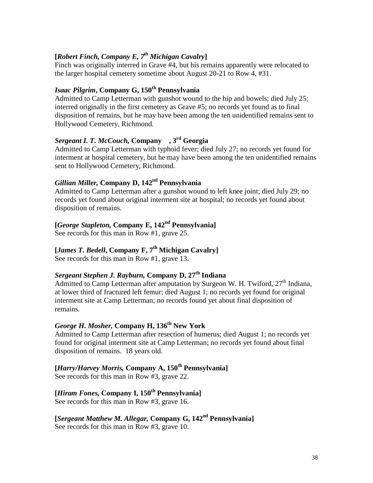## **[***Robert Finch, Company E, 7th Michigan Cavalry***]**

Finch was originally interred in Grave #4, but his remains apparently were relocated to the larger hospital cemetery sometime about August 20-21 to Row 4, #31.

# *Isaac Pilgrim***, Company G, 150th Pennsylvania**

Admitted to Camp Letterman with gunshot wound to the hip and bowels; died July 25; interred originally in the first cemetery as Grave #5; no records yet found as to final disposition of remains, but he may have been among the ten unidentified remains sent to Hollywood Cemetery, Richmond.

# *Sergeant I. T. McCouch,* **Company , 3rd Georgia**

Admitted to Camp Letterman with typhoid fever; died July 27; no records yet found for interment at hospital cemetery, but he may have been among the ten unidentified remains sent to Hollywood Cemetery, Richmond.

### *Gillian Miller,* **Company D, 142nd Pennsylvania**

Admitted to Camp Letterman after a gunshot wound to left knee joint; died July 29; no records yet found about original interment site at hospital; no records yet found about disposition of remains.

# **[***George Stapleton,* **Company E, 142nd Pennsylvania]**

See records for this man in Row #1, grave 25.

# **[***James T. Bedell***, Company F, 7th Michigan Cavalry]**

See records for this man in Row #1, grave 13.

# *Sergeant Stephen J. Rayburn,* **Company D, 27th Indiana**

Admitted to Camp Letterman after amputation by Surgeon W. H. Twiford, 27<sup>th</sup> Indiana, at lower third of fractured left femur; died August 1; no records yet found for original interment site at Camp Letterman; no records found yet about final disposition of remains.

# *George H. Mosher,* **Company H, 136th New York**

Admitted to Camp Letterman after resection of humerus; died August 1; no records yet found for original interment site at Camp Letterman; no records yet found about final disposition of remains. 18 years old.

# **[***Harry/Harvey Morris,* **Company A, 150th Pennsylvania]**

See records for this man in Row #3, grave 22.

# **[***Hiram Fones,* **Company I, 150th Pennsylvania]**

See records for this man in Row #3, grave 16.

### **[***Sergeant Matthew M. Allegar,* **Company G, 142nd Pennsylvania]** See records for this man in Row #3, grave 10.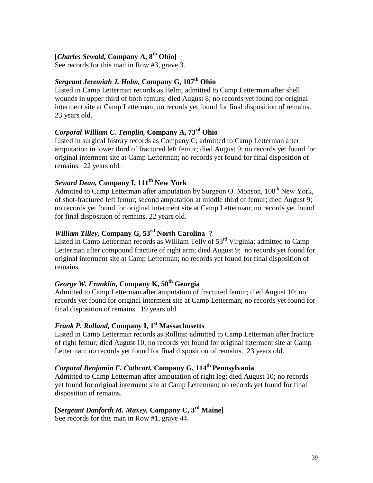### **[***Charles Sewald,* **Company A, 8th Ohio]**

See records for this man in Row #3, grave 3.

## *Sergeant Jeremiah J. Holm,* **Company G, 107th Ohio**

Listed in Camp Letterman records as Helm; admitted to Camp Letterman after shell wounds in upper third of both femurs; died August 8; no records yet found for original interment site at Camp Letterman; no records yet found for final disposition of remains. 23 years old.

# *Corporal William C. Templin,* **Company A, 73rd Ohio**

Listed in surgical history records as Company C; admitted to Camp Letterman after amputation in lower third of fractured left femur; died August 9; no records yet found for original interment site at Camp Letterman; no records yet found for final disposition of remains. 22 years old.

## *Seward Dean,* **Company I, 111th New York**

Admitted to Camp Letterman after amputation by Surgeon O. Monson, 108<sup>th</sup> New York, of shot-fractured left femur; second amputation at middle third of femur; died August 9; no records yet found for original interment site at Camp Letterman; no records yet found for final disposition of remains. 22 years old.

# *William Tilley,* **Company G, 53rd North Carolina ?**

Listed in Camp Letterman records as William Telly of 53<sup>rd</sup> Virginia; admitted to Camp Letterman after compound fracture of right arm; died August 9; no records yet found for original interment site at Camp Letterman; no records yet found for final disposition of remains.

# *George W. Franklin,* **Company K, 50th Georgia**

Admitted to Camp Letterman after amputation of fractured femur; died August 10; no records yet found for original interment site at Camp Letterman; no records yet found for final disposition of remains. 19 years old.

## *Frank P. Rolland,* **Company I, 1st Massachusetts**

Listed in Camp Letterman records as Rollins; admitted to Camp Letterman after fracture of right femur; died August 10; no records yet found for original interment site at Camp Letterman; no records yet found for final disposition of remains. 23 years old.

# *Corporal Benjamin F. Cathcart,* **Company G, 114th Pennsylvania**

Admitted to Camp Letterman after amputation of right leg; died August 10; no records yet found for original interment site at Camp Letterman; no records yet found for final disposition of remains.

# **[***Sergeant Danforth M. Maxey,* **Company C, 3rd Maine]**

See records for this man in Row #1, grave 44.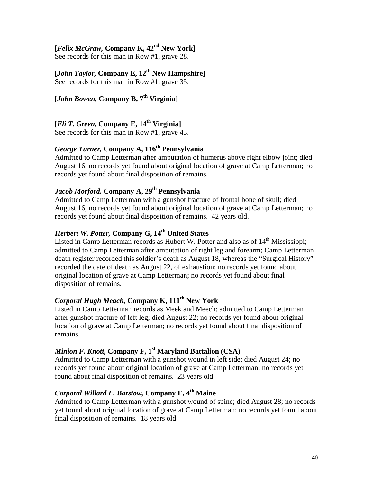# **[***Felix McGraw,* **Company K, 42nd New York]**

See records for this man in Row #1, grave 28.

# **[***John Taylor,* **Company E, 12th New Hampshire]**

See records for this man in Row #1, grave 35.

# **[***John Bowen,* **Company B, 7th Virginia]**

**[***Eli T. Green,* **Company E, 14th Virginia]**

See records for this man in Row #1, grave 43.

# *George Turner,* **Company A, 116th Pennsylvania**

Admitted to Camp Letterman after amputation of humerus above right elbow joint; died August 16; no records yet found about original location of grave at Camp Letterman; no records yet found about final disposition of remains.

### *Jacob Morford,* **Company A, 29th Pennsylvania**

Admitted to Camp Letterman with a gunshot fracture of frontal bone of skull; died August 16; no records yet found about original location of grave at Camp Letterman; no records yet found about final disposition of remains. 42 years old.

# *Herbert W. Potter,* **Company G, 14th United States**

Listed in Camp Letterman records as Hubert W. Potter and also as of  $14<sup>th</sup>$  Mississippi; admitted to Camp Letterman after amputation of right leg and forearm; Camp Letterman death register recorded this soldier's death as August 18, whereas the "Surgical History" recorded the date of death as August 22, of exhaustion; no records yet found about original location of grave at Camp Letterman; no records yet found about final disposition of remains.

# *Corporal Hugh Meach,* **Company K, 111th New York**

Listed in Camp Letterman records as Meek and Meech; admitted to Camp Letterman after gunshot fracture of left leg; died August 22; no records yet found about original location of grave at Camp Letterman; no records yet found about final disposition of remains.

### *Minion F. Knott, Company F.* 1<sup>st</sup> Maryland Battalion (CSA)

Admitted to Camp Letterman with a gunshot wound in left side; died August 24; no records yet found about original location of grave at Camp Letterman; no records yet found about final disposition of remains. 23 years old.

## *Corporal Willard F. Barstow,* **Company E, 4th Maine**

Admitted to Camp Letterman with a gunshot wound of spine; died August 28; no records yet found about original location of grave at Camp Letterman; no records yet found about final disposition of remains. 18 years old.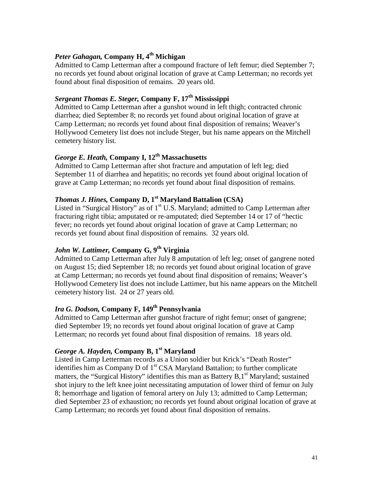## *Peter Gahagan, Company H, 4<sup>th</sup> Michigan*

Admitted to Camp Letterman after a compound fracture of left femur; died September 7; no records yet found about original location of grave at Camp Letterman; no records yet found about final disposition of remains. 20 years old.

# *Sergeant Thomas E. Steger,* **Company F, 17th Mississippi**

Admitted to Camp Letterman after a gunshot wound in left thigh; contracted chronic diarrhea; died September 8; no records yet found about original location of grave at Camp Letterman; no records yet found about final disposition of remains; Weaver's Hollywood Cemetery list does not include Steger, but his name appears on the Mitchell cemetery history list.

# *George E. Heath,* **Company I, 12th Massachusetts**

Admitted to Camp Letterman after shot fracture and amputation of left leg; died September 11 of diarrhea and hepatitis; no records yet found about original location of grave at Camp Letterman; no records yet found about final disposition of remains.

# *Thomas J. Hines,* **Company D, 1st Maryland Battalion (CSA)**

Listed in "Surgical History" as of  $1<sup>st</sup>$  U.S. Maryland; admitted to Camp Letterman after fracturing right tibia; amputated or re-amputated; died September 14 or 17 of "hectic fever; no records yet found about original location of grave at Camp Letterman; no records yet found about final disposition of remains. 32 years old.

# *John W. Lattimer,* **Company G, 9th Virginia**

Admitted to Camp Letterman after July 8 amputation of left leg; onset of gangrene noted on August 15; died September 18; no records yet found about original location of grave at Camp Letterman; no records yet found about final disposition of remains; Weaver's Hollywood Cemetery list does not include Lattimer, but his name appears on the Mitchell cemetery history list. 24 or 27 years old.

### *Ira G. Dodson,* **Company F, 149th Pennsylvania**

Admitted to Camp Letterman after gunshot fracture of right femur; onset of gangrene; died September 19; no records yet found about original location of grave at Camp Letterman; no records yet found about final disposition of remains. 18 years old.

### *George A. Hayden,* **Company B, 1st Maryland**

Listed in Camp Letterman records as a Union soldier but Krick's "Death Roster" identifies him as Company D of  $1<sup>st</sup>$  CSA Maryland Battalion; to further complicate matters, the "Surgical History" identifies this man as Battery  $B, 1<sup>st</sup>$  Maryland; sustained shot injury to the left knee joint necessitating amputation of lower third of femur on July 8; hemorrhage and ligation of femoral artery on July 13; admitted to Camp Letterman; died September 23 of exhaustion; no records yet found about original location of grave at Camp Letterman; no records yet found about final disposition of remains.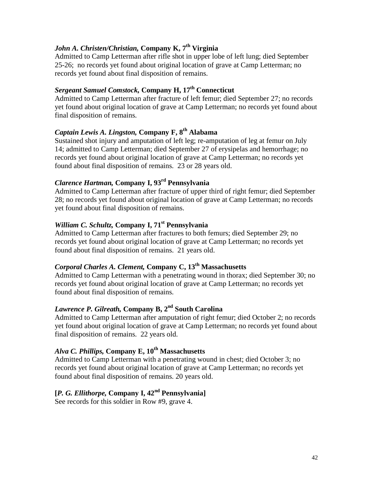# *John A. Christen/Christian, Company K,* 7<sup>th</sup> Virginia

Admitted to Camp Letterman after rifle shot in upper lobe of left lung; died September 25-26; no records yet found about original location of grave at Camp Letterman; no records yet found about final disposition of remains.

# *Sergeant Samuel Comstock,* **Company H, 17th Connecticut**

Admitted to Camp Letterman after fracture of left femur; died September 27; no records yet found about original location of grave at Camp Letterman; no records yet found about final disposition of remains.

# *Captain Lewis A. Lingston,* **Company F, 8th Alabama**

Sustained shot injury and amputation of left leg; re-amputation of leg at femur on July 14; admitted to Camp Letterman; died September 27 of erysipelas and hemorrhage; no records yet found about original location of grave at Camp Letterman; no records yet found about final disposition of remains. 23 or 28 years old.

# *Clarence Hartman,* **Company I, 93rd Pennsylvania**

Admitted to Camp Letterman after fracture of upper third of right femur; died September 28; no records yet found about original location of grave at Camp Letterman; no records yet found about final disposition of remains.

### *William C. Schultz,* **Company I, 71st Pennsylvania**

Admitted to Camp Letterman after fractures to both femurs; died September 29; no records yet found about original location of grave at Camp Letterman; no records yet found about final disposition of remains. 21 years old.

# *Corporal Charles A. Clement,* **Company C, 13th Massachusetts**

Admitted to Camp Letterman with a penetrating wound in thorax; died September 30; no records yet found about original location of grave at Camp Letterman; no records yet found about final disposition of remains.

### *Lawrence P. Gilreath,* **Company B, 2nd South Carolina**

Admitted to Camp Letterman after amputation of right femur; died October 2; no records yet found about original location of grave at Camp Letterman; no records yet found about final disposition of remains. 22 years old.

# Alva C. Phillips, Company E,  $10^{th}$  Massachusetts

Admitted to Camp Letterman with a penetrating wound in chest; died October 3; no records yet found about original location of grave at Camp Letterman; no records yet found about final disposition of remains. 20 years old.

# **[***P. G. Ellithorpe,* **Company I, 42nd Pennsylvania]**

See records for this soldier in Row #9, grave 4.